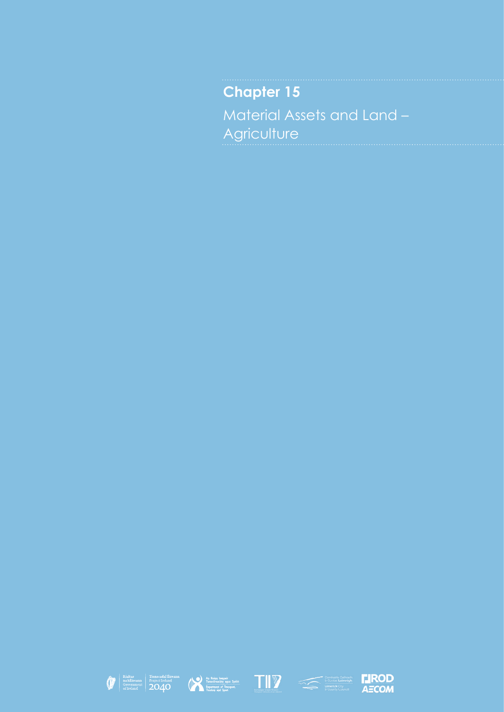**Chapter 15** Material Assets and Land – **Agriculture** 









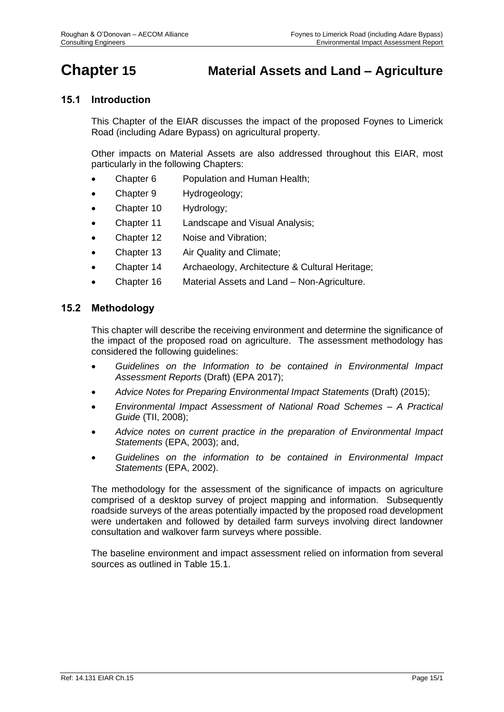# **Chapter 15 Material Assets and Land – Agriculture**

# **15.1 Introduction**

This Chapter of the EIAR discusses the impact of the proposed Foynes to Limerick Road (including Adare Bypass) on agricultural property.

Other impacts on Material Assets are also addressed throughout this EIAR, most particularly in the following Chapters:

- Chapter 6 Population and Human Health;
- Chapter 9 Hydrogeology;
- Chapter 10 Hydrology;
- Chapter 11 Landscape and Visual Analysis;
- Chapter 12 Noise and Vibration;
- Chapter 13 Air Quality and Climate;
- Chapter 14 Archaeology, Architecture & Cultural Heritage;
- Chapter 16 Material Assets and Land Non-Agriculture.

## **15.2 Methodology**

This chapter will describe the receiving environment and determine the significance of the impact of the proposed road on agriculture. The assessment methodology has considered the following guidelines:

- *Guidelines on the Information to be contained in Environmental Impact Assessment Reports* (Draft) (EPA 2017);
- *Advice Notes for Preparing Environmental Impact Statements* (Draft) (2015);
- *Environmental Impact Assessment of National Road Schemes – A Practical Guide* (TII, 2008);
- *Advice notes on current practice in the preparation of Environmental Impact Statements* (EPA, 2003); and,
- *Guidelines on the information to be contained in Environmental Impact Statements* (EPA, 2002).

The methodology for the assessment of the significance of impacts on agriculture comprised of a desktop survey of project mapping and information. Subsequently roadside surveys of the areas potentially impacted by the proposed road development were undertaken and followed by detailed farm surveys involving direct landowner consultation and walkover farm surveys where possible.

The baseline environment and impact assessment relied on information from several sources as outlined in [Table 15.1.](#page-2-0)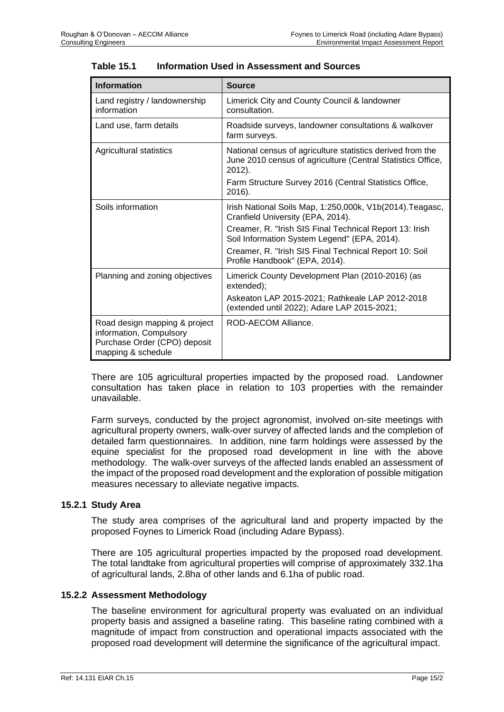| <b>Information</b>                                                                                             | <b>Source</b>                                                                                                                       |
|----------------------------------------------------------------------------------------------------------------|-------------------------------------------------------------------------------------------------------------------------------------|
| Land registry / landownership<br>information                                                                   | Limerick City and County Council & landowner<br>consultation.                                                                       |
| Land use, farm details                                                                                         | Roadside surveys, landowner consultations & walkover<br>farm surveys.                                                               |
| Agricultural statistics                                                                                        | National census of agriculture statistics derived from the<br>June 2010 census of agriculture (Central Statistics Office,<br>2012). |
|                                                                                                                | Farm Structure Survey 2016 (Central Statistics Office,<br>2016).                                                                    |
| Soils information                                                                                              | Irish National Soils Map, 1:250,000k, V1b(2014). Teagasc,<br>Cranfield University (EPA, 2014).                                      |
|                                                                                                                | Creamer, R. "Irish SIS Final Technical Report 13: Irish<br>Soil Information System Legend" (EPA, 2014).                             |
|                                                                                                                | Creamer, R. "Irish SIS Final Technical Report 10: Soil<br>Profile Handbook" (EPA, 2014).                                            |
| Planning and zoning objectives                                                                                 | Limerick County Development Plan (2010-2016) (as<br>extended);                                                                      |
|                                                                                                                | Askeaton LAP 2015-2021; Rathkeale LAP 2012-2018<br>(extended until 2022); Adare LAP 2015-2021;                                      |
| Road design mapping & project<br>information, Compulsory<br>Purchase Order (CPO) deposit<br>mapping & schedule | ROD-AECOM Alliance.                                                                                                                 |

## <span id="page-2-0"></span>**Table 15.1 Information Used in Assessment and Sources**

There are 105 agricultural properties impacted by the proposed road. Landowner consultation has taken place in relation to 103 properties with the remainder unavailable.

Farm surveys, conducted by the project agronomist, involved on-site meetings with agricultural property owners, walk-over survey of affected lands and the completion of detailed farm questionnaires. In addition, nine farm holdings were assessed by the equine specialist for the proposed road development in line with the above methodology. The walk-over surveys of the affected lands enabled an assessment of the impact of the proposed road development and the exploration of possible mitigation measures necessary to alleviate negative impacts.

#### **15.2.1 Study Area**

The study area comprises of the agricultural land and property impacted by the proposed Foynes to Limerick Road (including Adare Bypass).

There are 105 agricultural properties impacted by the proposed road development. The total landtake from agricultural properties will comprise of approximately 332.1ha of agricultural lands, 2.8ha of other lands and 6.1ha of public road.

#### **15.2.2 Assessment Methodology**

The baseline environment for agricultural property was evaluated on an individual property basis and assigned a baseline rating. This baseline rating combined with a magnitude of impact from construction and operational impacts associated with the proposed road development will determine the significance of the agricultural impact.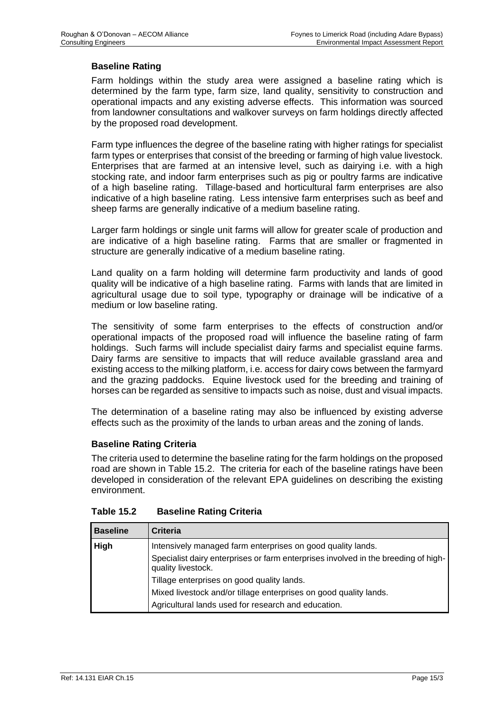## **Baseline Rating**

Farm holdings within the study area were assigned a baseline rating which is determined by the farm type, farm size, land quality, sensitivity to construction and operational impacts and any existing adverse effects. This information was sourced from landowner consultations and walkover surveys on farm holdings directly affected by the proposed road development.

Farm type influences the degree of the baseline rating with higher ratings for specialist farm types or enterprises that consist of the breeding or farming of high value livestock. Enterprises that are farmed at an intensive level, such as dairying i.e. with a high stocking rate, and indoor farm enterprises such as pig or poultry farms are indicative of a high baseline rating. Tillage-based and horticultural farm enterprises are also indicative of a high baseline rating. Less intensive farm enterprises such as beef and sheep farms are generally indicative of a medium baseline rating.

Larger farm holdings or single unit farms will allow for greater scale of production and are indicative of a high baseline rating. Farms that are smaller or fragmented in structure are generally indicative of a medium baseline rating.

Land quality on a farm holding will determine farm productivity and lands of good quality will be indicative of a high baseline rating. Farms with lands that are limited in agricultural usage due to soil type, typography or drainage will be indicative of a medium or low baseline rating.

The sensitivity of some farm enterprises to the effects of construction and/or operational impacts of the proposed road will influence the baseline rating of farm holdings. Such farms will include specialist dairy farms and specialist equine farms. Dairy farms are sensitive to impacts that will reduce available grassland area and existing access to the milking platform, i.e. access for dairy cows between the farmyard and the grazing paddocks. Equine livestock used for the breeding and training of horses can be regarded as sensitive to impacts such as noise, dust and visual impacts.

The determination of a baseline rating may also be influenced by existing adverse effects such as the proximity of the lands to urban areas and the zoning of lands.

#### **Baseline Rating Criteria**

The criteria used to determine the baseline rating for the farm holdings on the proposed road are shown in [Table 15.2.](#page-3-0) The criteria for each of the baseline ratings have been developed in consideration of the relevant EPA guidelines on describing the existing environment.

| <b>Baseline</b> | Criteria                                                                                                 |
|-----------------|----------------------------------------------------------------------------------------------------------|
| High            | Intensively managed farm enterprises on good quality lands.                                              |
|                 | Specialist dairy enterprises or farm enterprises involved in the breeding of high-<br>quality livestock. |
|                 | Tillage enterprises on good quality lands.                                                               |
|                 | Mixed livestock and/or tillage enterprises on good quality lands.                                        |
|                 | Agricultural lands used for research and education.                                                      |

#### <span id="page-3-0"></span>**Table 15.2 Baseline Rating Criteria**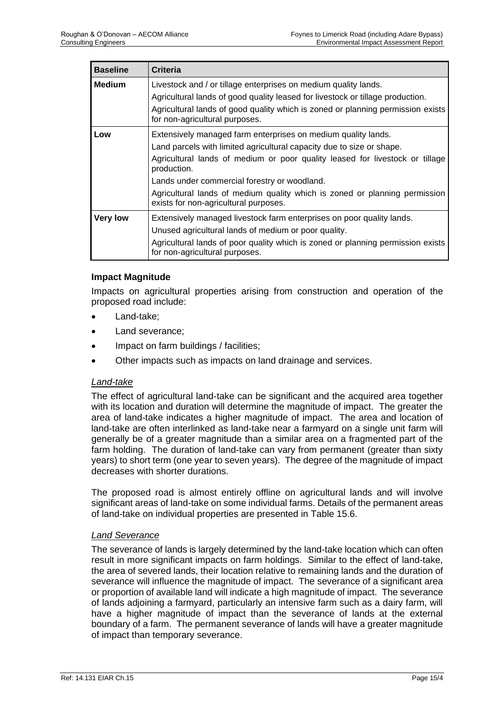| <b>Baseline</b> | <b>Criteria</b>                                                                                                                                                                                                                                                                                                                                                                                              |
|-----------------|--------------------------------------------------------------------------------------------------------------------------------------------------------------------------------------------------------------------------------------------------------------------------------------------------------------------------------------------------------------------------------------------------------------|
| <b>Medium</b>   | Livestock and / or tillage enterprises on medium quality lands.<br>Agricultural lands of good quality leased for livestock or tillage production.<br>Agricultural lands of good quality which is zoned or planning permission exists<br>for non-agricultural purposes.                                                                                                                                       |
| Low             | Extensively managed farm enterprises on medium quality lands.<br>Land parcels with limited agricultural capacity due to size or shape.<br>Agricultural lands of medium or poor quality leased for livestock or tillage<br>production.<br>Lands under commercial forestry or woodland.<br>Agricultural lands of medium quality which is zoned or planning permission<br>exists for non-agricultural purposes. |
| <b>Very low</b> | Extensively managed livestock farm enterprises on poor quality lands.<br>Unused agricultural lands of medium or poor quality.<br>Agricultural lands of poor quality which is zoned or planning permission exists<br>for non-agricultural purposes.                                                                                                                                                           |

#### **Impact Magnitude**

Impacts on agricultural properties arising from construction and operation of the proposed road include:

- Land-take;
- Land severance;
- Impact on farm buildings / facilities;
- Other impacts such as impacts on land drainage and services.

#### *Land-take*

The effect of agricultural land-take can be significant and the acquired area together with its location and duration will determine the magnitude of impact. The greater the area of land-take indicates a higher magnitude of impact. The area and location of land-take are often interlinked as land-take near a farmyard on a single unit farm will generally be of a greater magnitude than a similar area on a fragmented part of the farm holding. The duration of land-take can vary from permanent (greater than sixty years) to short term (one year to seven years). The degree of the magnitude of impact decreases with shorter durations.

The proposed road is almost entirely offline on agricultural lands and will involve significant areas of land-take on some individual farms. Details of the permanent areas of land-take on individual properties are presented in [Table 15.6.](#page-11-0)

#### *Land Severance*

The severance of lands is largely determined by the land-take location which can often result in more significant impacts on farm holdings. Similar to the effect of land-take, the area of severed lands, their location relative to remaining lands and the duration of severance will influence the magnitude of impact. The severance of a significant area or proportion of available land will indicate a high magnitude of impact. The severance of lands adjoining a farmyard, particularly an intensive farm such as a dairy farm, will have a higher magnitude of impact than the severance of lands at the external boundary of a farm. The permanent severance of lands will have a greater magnitude of impact than temporary severance.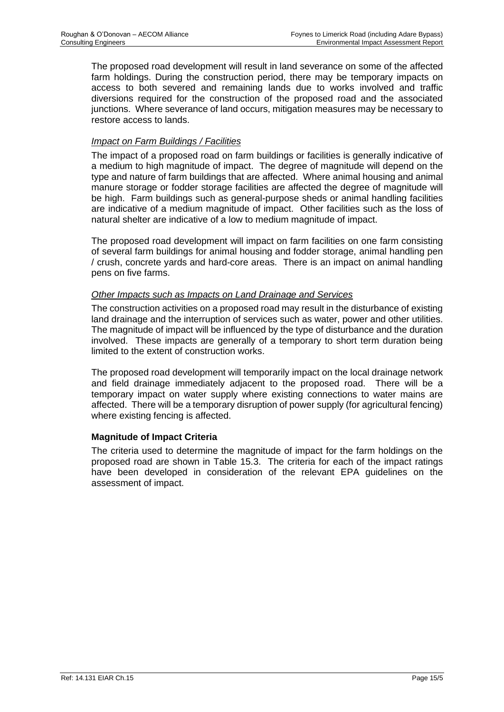The proposed road development will result in land severance on some of the affected farm holdings. During the construction period, there may be temporary impacts on access to both severed and remaining lands due to works involved and traffic diversions required for the construction of the proposed road and the associated junctions. Where severance of land occurs, mitigation measures may be necessary to restore access to lands.

## *Impact on Farm Buildings / Facilities*

The impact of a proposed road on farm buildings or facilities is generally indicative of a medium to high magnitude of impact. The degree of magnitude will depend on the type and nature of farm buildings that are affected. Where animal housing and animal manure storage or fodder storage facilities are affected the degree of magnitude will be high. Farm buildings such as general-purpose sheds or animal handling facilities are indicative of a medium magnitude of impact. Other facilities such as the loss of natural shelter are indicative of a low to medium magnitude of impact.

The proposed road development will impact on farm facilities on one farm consisting of several farm buildings for animal housing and fodder storage, animal handling pen / crush, concrete yards and hard-core areas. There is an impact on animal handling pens on five farms.

#### *Other Impacts such as Impacts on Land Drainage and Services*

The construction activities on a proposed road may result in the disturbance of existing land drainage and the interruption of services such as water, power and other utilities. The magnitude of impact will be influenced by the type of disturbance and the duration involved. These impacts are generally of a temporary to short term duration being limited to the extent of construction works.

The proposed road development will temporarily impact on the local drainage network and field drainage immediately adjacent to the proposed road. There will be a temporary impact on water supply where existing connections to water mains are affected. There will be a temporary disruption of power supply (for agricultural fencing) where existing fencing is affected.

#### **Magnitude of Impact Criteria**

The criteria used to determine the magnitude of impact for the farm holdings on the proposed road are shown in [Table 15.3.](#page-6-0) The criteria for each of the impact ratings have been developed in consideration of the relevant EPA guidelines on the assessment of impact.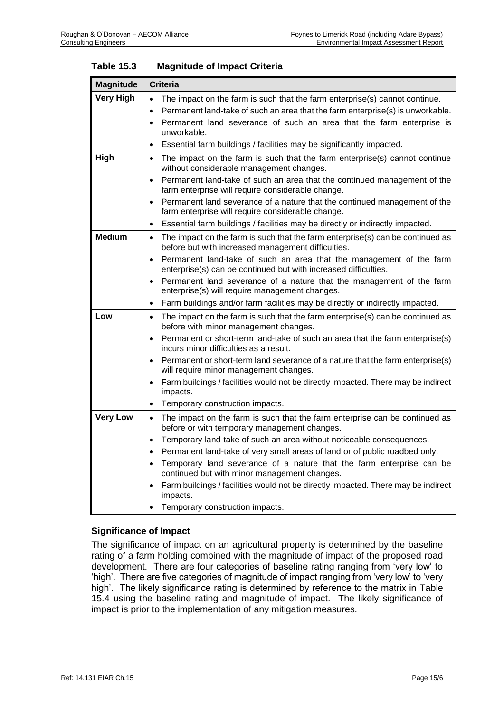| <b>Criteria</b>                                                                                                                                                                                                                                                                                                                                                                                                                                                                                                                                                                                                |
|----------------------------------------------------------------------------------------------------------------------------------------------------------------------------------------------------------------------------------------------------------------------------------------------------------------------------------------------------------------------------------------------------------------------------------------------------------------------------------------------------------------------------------------------------------------------------------------------------------------|
|                                                                                                                                                                                                                                                                                                                                                                                                                                                                                                                                                                                                                |
| The impact on the farm is such that the farm enterprise(s) cannot continue.<br>$\bullet$<br>Permanent land-take of such an area that the farm enterprise(s) is unworkable.<br>$\bullet$<br>Permanent land severance of such an area that the farm enterprise is<br>$\bullet$<br>unworkable.<br>Essential farm buildings / facilities may be significantly impacted.<br>$\bullet$                                                                                                                                                                                                                               |
| The impact on the farm is such that the farm enterprise(s) cannot continue<br>$\bullet$<br>without considerable management changes.<br>Permanent land-take of such an area that the continued management of the<br>$\bullet$<br>farm enterprise will require considerable change.<br>Permanent land severance of a nature that the continued management of the<br>$\bullet$                                                                                                                                                                                                                                    |
| farm enterprise will require considerable change.<br>Essential farm buildings / facilities may be directly or indirectly impacted.<br>$\bullet$                                                                                                                                                                                                                                                                                                                                                                                                                                                                |
| The impact on the farm is such that the farm enterprise(s) can be continued as<br>$\bullet$<br>before but with increased management difficulties.<br>Permanent land-take of such an area that the management of the farm<br>$\bullet$<br>enterprise(s) can be continued but with increased difficulties.<br>Permanent land severance of a nature that the management of the farm<br>$\bullet$                                                                                                                                                                                                                  |
| enterprise(s) will require management changes.<br>Farm buildings and/or farm facilities may be directly or indirectly impacted.<br>$\bullet$                                                                                                                                                                                                                                                                                                                                                                                                                                                                   |
| The impact on the farm is such that the farm enterprise(s) can be continued as<br>$\bullet$<br>before with minor management changes.<br>Permanent or short-term land-take of such an area that the farm enterprise(s)<br>$\bullet$<br>incurs minor difficulties as a result.                                                                                                                                                                                                                                                                                                                                   |
| Permanent or short-term land severance of a nature that the farm enterprise(s)<br>$\bullet$<br>will require minor management changes.<br>Farm buildings / facilities would not be directly impacted. There may be indirect<br>$\bullet$<br>impacts.<br>Temporary construction impacts.<br>$\bullet$                                                                                                                                                                                                                                                                                                            |
| The impact on the farm is such that the farm enterprise can be continued as<br>$\bullet$<br>before or with temporary management changes.<br>Temporary land-take of such an area without noticeable consequences.<br>$\bullet$<br>Permanent land-take of very small areas of land or of public roadbed only.<br>$\bullet$<br>Temporary land severance of a nature that the farm enterprise can be<br>$\bullet$<br>continued but with minor management changes.<br>Farm buildings / facilities would not be directly impacted. There may be indirect<br>$\bullet$<br>impacts.<br>Temporary construction impacts. |
|                                                                                                                                                                                                                                                                                                                                                                                                                                                                                                                                                                                                                |

<span id="page-6-0"></span>

| <b>Table 15.3</b> | <b>Magnitude of Impact Criteria</b> |
|-------------------|-------------------------------------|
|-------------------|-------------------------------------|

#### **Significance of Impact**

The significance of impact on an agricultural property is determined by the baseline rating of a farm holding combined with the magnitude of impact of the proposed road development. There are four categories of baseline rating ranging from 'very low' to 'high'. There are five categories of magnitude of impact ranging from 'very low' to 'very high'. The likely significance rating is determined by reference to the matrix in [Table](#page-7-0)  [15.4](#page-7-0) using the baseline rating and magnitude of impact. The likely significance of impact is prior to the implementation of any mitigation measures.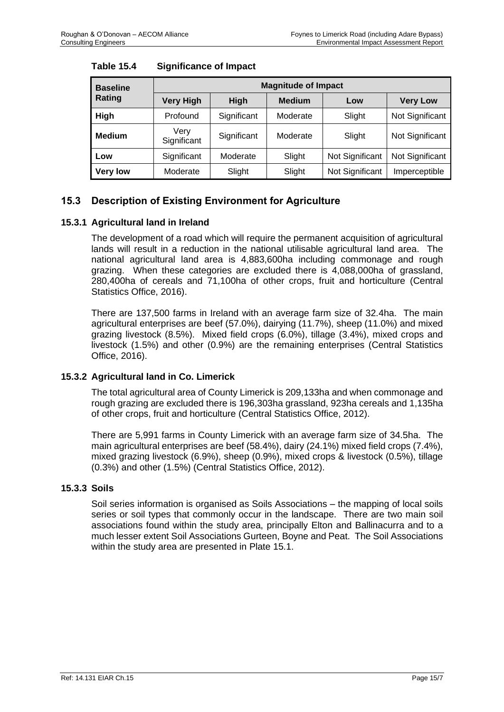| <b>Baseline</b> | <b>Magnitude of Impact</b> |             |               |                 |                 |  |  |  |  |  |  |
|-----------------|----------------------------|-------------|---------------|-----------------|-----------------|--|--|--|--|--|--|
| Rating          | <b>Very High</b>           | High        | <b>Medium</b> | Low             | <b>Very Low</b> |  |  |  |  |  |  |
| High            | Profound                   | Significant | Moderate      | Slight          | Not Significant |  |  |  |  |  |  |
| <b>Medium</b>   | Very<br>Significant        | Significant | Moderate      | Slight          | Not Significant |  |  |  |  |  |  |
| Low             | Significant                | Moderate    | Slight        | Not Significant | Not Significant |  |  |  |  |  |  |
| <b>Very low</b> | Moderate                   | Slight      | Slight        | Not Significant | Imperceptible   |  |  |  |  |  |  |

## <span id="page-7-0"></span>**Table 15.4 Significance of Impact**

# **15.3 Description of Existing Environment for Agriculture**

## **15.3.1 Agricultural land in Ireland**

The development of a road which will require the permanent acquisition of agricultural lands will result in a reduction in the national utilisable agricultural land area. The national agricultural land area is 4,883,600ha including commonage and rough grazing. When these categories are excluded there is 4,088,000ha of grassland, 280,400ha of cereals and 71,100ha of other crops, fruit and horticulture (Central Statistics Office, 2016).

There are 137,500 farms in Ireland with an average farm size of 32.4ha. The main agricultural enterprises are beef (57.0%), dairying (11.7%), sheep (11.0%) and mixed grazing livestock (8.5%). Mixed field crops (6.0%), tillage (3.4%), mixed crops and livestock (1.5%) and other (0.9%) are the remaining enterprises (Central Statistics Office, 2016).

# **15.3.2 Agricultural land in Co. Limerick**

The total agricultural area of County Limerick is 209,133ha and when commonage and rough grazing are excluded there is 196,303ha grassland, 923ha cereals and 1,135ha of other crops, fruit and horticulture (Central Statistics Office, 2012).

There are 5,991 farms in County Limerick with an average farm size of 34.5ha. The main agricultural enterprises are beef (58.4%), dairy (24.1%) mixed field crops (7.4%), mixed grazing livestock (6.9%), sheep (0.9%), mixed crops & livestock (0.5%), tillage (0.3%) and other (1.5%) (Central Statistics Office, 2012).

# **15.3.3 Soils**

Soil series information is organised as Soils Associations – the mapping of local soils series or soil types that commonly occur in the landscape. There are two main soil associations found within the study area, principally Elton and Ballinacurra and to a much lesser extent Soil Associations Gurteen, Boyne and Peat. The Soil Associations within the study area are presented in Plate 15.1.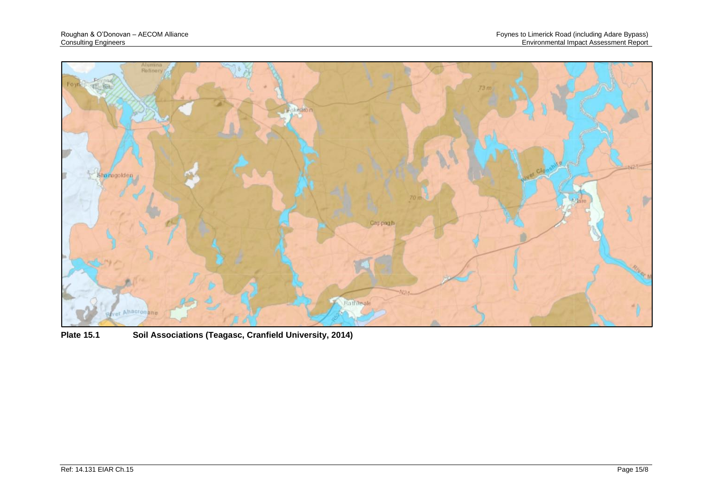

**Plate 15.1 Soil Associations (Teagasc, Cranfield University, 2014)**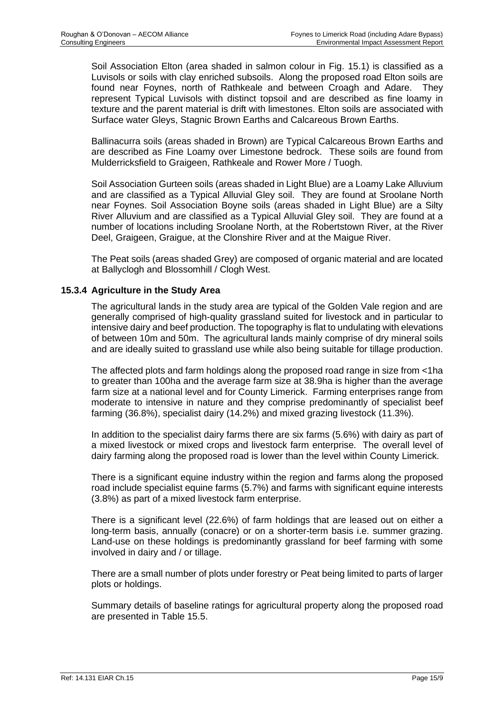Soil Association Elton (area shaded in salmon colour in Fig. 15.1) is classified as a Luvisols or soils with clay enriched subsoils. Along the proposed road Elton soils are found near Foynes, north of Rathkeale and between Croagh and Adare. They represent Typical Luvisols with distinct topsoil and are described as fine loamy in texture and the parent material is drift with limestones. Elton soils are associated with Surface water Gleys, Stagnic Brown Earths and Calcareous Brown Earths.

Ballinacurra soils (areas shaded in Brown) are Typical Calcareous Brown Earths and are described as Fine Loamy over Limestone bedrock. These soils are found from Mulderricksfield to Graigeen, Rathkeale and Rower More / Tuogh.

Soil Association Gurteen soils (areas shaded in Light Blue) are a Loamy Lake Alluvium and are classified as a Typical Alluvial Gley soil. They are found at Sroolane North near Foynes. Soil Association Boyne soils (areas shaded in Light Blue) are a Silty River Alluvium and are classified as a Typical Alluvial Gley soil. They are found at a number of locations including Sroolane North, at the Robertstown River, at the River Deel, Graigeen, Graigue, at the Clonshire River and at the Maigue River.

The Peat soils (areas shaded Grey) are composed of organic material and are located at Ballyclogh and Blossomhill / Clogh West.

## **15.3.4 Agriculture in the Study Area**

The agricultural lands in the study area are typical of the Golden Vale region and are generally comprised of high-quality grassland suited for livestock and in particular to intensive dairy and beef production. The topography is flat to undulating with elevations of between 10m and 50m. The agricultural lands mainly comprise of dry mineral soils and are ideally suited to grassland use while also being suitable for tillage production.

The affected plots and farm holdings along the proposed road range in size from <1ha to greater than 100ha and the average farm size at 38.9ha is higher than the average farm size at a national level and for County Limerick. Farming enterprises range from moderate to intensive in nature and they comprise predominantly of specialist beef farming (36.8%), specialist dairy (14.2%) and mixed grazing livestock (11.3%).

In addition to the specialist dairy farms there are six farms (5.6%) with dairy as part of a mixed livestock or mixed crops and livestock farm enterprise. The overall level of dairy farming along the proposed road is lower than the level within County Limerick.

There is a significant equine industry within the region and farms along the proposed road include specialist equine farms (5.7%) and farms with significant equine interests (3.8%) as part of a mixed livestock farm enterprise.

There is a significant level (22.6%) of farm holdings that are leased out on either a long-term basis, annually (conacre) or on a shorter-term basis i.e. summer grazing. Land-use on these holdings is predominantly grassland for beef farming with some involved in dairy and / or tillage.

There are a small number of plots under forestry or Peat being limited to parts of larger plots or holdings.

Summary details of baseline ratings for agricultural property along the proposed road are presented in [Table 15.5.](#page-10-0)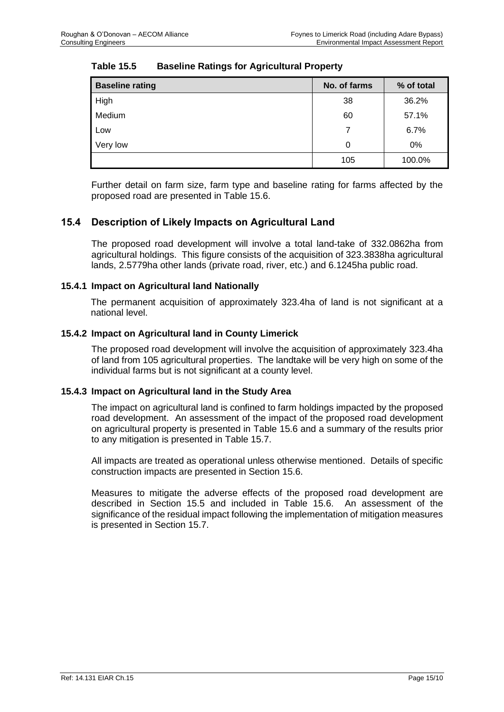| <b>Baseline rating</b> | No. of farms | % of total |
|------------------------|--------------|------------|
| High                   | 38           | 36.2%      |
| Medium                 | 60           | 57.1%      |
| Low                    | 7            | 6.7%       |
| Very low               | 0            | 0%         |
|                        | 105          | 100.0%     |

# <span id="page-10-0"></span>**Table 15.5 Baseline Ratings for Agricultural Property**

Further detail on farm size, farm type and baseline rating for farms affected by the proposed road are presented in [Table 15.6.](#page-11-0)

# **15.4 Description of Likely Impacts on Agricultural Land**

The proposed road development will involve a total land-take of 332.0862ha from agricultural holdings. This figure consists of the acquisition of 323.3838ha agricultural lands, 2.5779ha other lands (private road, river, etc.) and 6.1245ha public road.

## **15.4.1 Impact on Agricultural land Nationally**

The permanent acquisition of approximately 323.4ha of land is not significant at a national level.

## **15.4.2 Impact on Agricultural land in County Limerick**

The proposed road development will involve the acquisition of approximately 323.4ha of land from 105 agricultural properties. The landtake will be very high on some of the individual farms but is not significant at a county level.

#### **15.4.3 Impact on Agricultural land in the Study Area**

The impact on agricultural land is confined to farm holdings impacted by the proposed road development. An assessment of the impact of the proposed road development on agricultural property is presented in [Table 15.6](#page-11-0) and a summary of the results prior to any mitigation is presented in [Table 15.7.](#page-39-0)

All impacts are treated as operational unless otherwise mentioned. Details of specific construction impacts are presented in Section 15.6.

Measures to mitigate the adverse effects of the proposed road development are described in Section 15.5 and included in [Table 15.6.](#page-11-0) An assessment of the significance of the residual impact following the implementation of mitigation measures is presented in Section 15.7.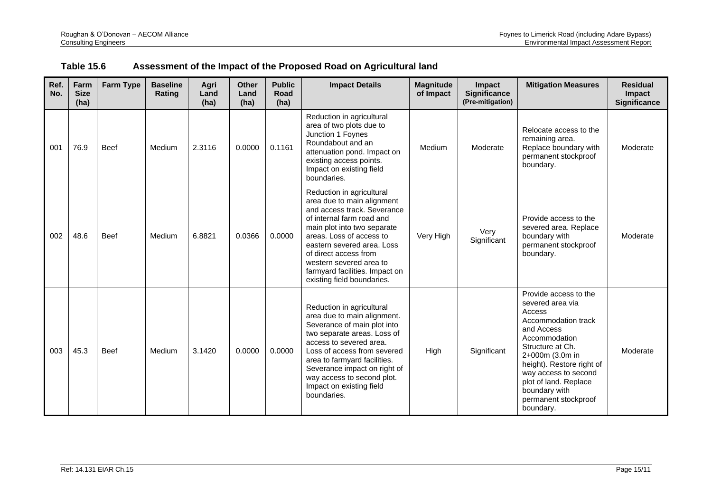<span id="page-11-0"></span>

| Ref.<br>No. | Farm<br><b>Size</b><br>(ha) | <b>Farm Type</b> | <b>Baseline</b><br>Rating | Agri<br>Land<br>(ha) | <b>Other</b><br>Land<br>(ha) | <b>Public</b><br>Road<br>(ha) | <b>Impact Details</b>                                                                                                                                                                                                                                                                                                            | <b>Magnitude</b><br>of Impact | Impact<br><b>Significance</b><br>(Pre-mitigation) | <b>Mitigation Measures</b>                                                                                                                                                                                                                                                           | <b>Residual</b><br><b>Impact</b><br><b>Significance</b> |
|-------------|-----------------------------|------------------|---------------------------|----------------------|------------------------------|-------------------------------|----------------------------------------------------------------------------------------------------------------------------------------------------------------------------------------------------------------------------------------------------------------------------------------------------------------------------------|-------------------------------|---------------------------------------------------|--------------------------------------------------------------------------------------------------------------------------------------------------------------------------------------------------------------------------------------------------------------------------------------|---------------------------------------------------------|
| 001         | 76.9                        | <b>Beef</b>      | Medium                    | 2.3116               | 0.0000                       | 0.1161                        | Reduction in agricultural<br>area of two plots due to<br>Junction 1 Foynes<br>Roundabout and an<br>attenuation pond. Impact on<br>existing access points.<br>Impact on existing field<br>boundaries.                                                                                                                             | Medium                        | Moderate                                          | Relocate access to the<br>remaining area.<br>Replace boundary with<br>permanent stockproof<br>boundary.                                                                                                                                                                              | Moderate                                                |
| 002         | 48.6                        | <b>Beef</b>      | Medium                    | 6.8821               | 0.0366                       | 0.0000                        | Reduction in agricultural<br>area due to main alignment<br>and access track. Severance<br>of internal farm road and<br>main plot into two separate<br>areas. Loss of access to<br>eastern severed area. Loss<br>of direct access from<br>western severed area to<br>farmyard facilities. Impact on<br>existing field boundaries. | Very High                     | Very<br>Significant                               | Provide access to the<br>severed area. Replace<br>boundary with<br>permanent stockproof<br>boundary.                                                                                                                                                                                 | Moderate                                                |
| 003         | 45.3                        | <b>Beef</b>      | Medium                    | 3.1420               | 0.0000                       | 0.0000                        | Reduction in agricultural<br>area due to main alignment.<br>Severance of main plot into<br>two separate areas. Loss of<br>access to severed area.<br>Loss of access from severed<br>area to farmyard facilities.<br>Severance impact on right of<br>way access to second plot.<br>Impact on existing field<br>boundaries.        | High                          | Significant                                       | Provide access to the<br>severed area via<br>Access<br>Accommodation track<br>and Access<br>Accommodation<br>Structure at Ch.<br>2+000m (3.0m in<br>height). Restore right of<br>way access to second<br>plot of land. Replace<br>boundary with<br>permanent stockproof<br>boundary. | Moderate                                                |

# **Table 15.6 Assessment of the Impact of the Proposed Road on Agricultural land**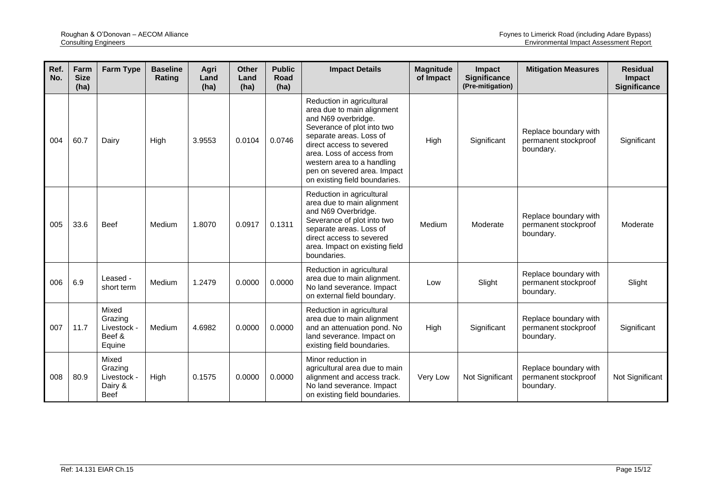| Ref.<br>No. | Farm<br><b>Size</b><br>(ha) | <b>Farm Type</b>                                          | <b>Baseline</b><br>Rating | Agri<br>Land<br>(ha) | <b>Other</b><br>Land<br>(ha) | <b>Public</b><br>Road<br>(ha) | <b>Impact Details</b>                                                                                                                                                                                                                                                                          | <b>Magnitude</b><br>of Impact | <b>Impact</b><br><b>Significance</b><br>(Pre-mitigation) | <b>Mitigation Measures</b>                                 | <b>Residual</b><br><b>Impact</b><br><b>Significance</b> |
|-------------|-----------------------------|-----------------------------------------------------------|---------------------------|----------------------|------------------------------|-------------------------------|------------------------------------------------------------------------------------------------------------------------------------------------------------------------------------------------------------------------------------------------------------------------------------------------|-------------------------------|----------------------------------------------------------|------------------------------------------------------------|---------------------------------------------------------|
| 004         | 60.7                        | Dairv                                                     | High                      | 3.9553               | 0.0104                       | 0.0746                        | Reduction in agricultural<br>area due to main alignment<br>and N69 overbridge.<br>Severance of plot into two<br>separate areas. Loss of<br>direct access to severed<br>area. Loss of access from<br>western area to a handling<br>pen on severed area. Impact<br>on existing field boundaries. | High                          | Significant                                              | Replace boundary with<br>permanent stockproof<br>boundary. | Significant                                             |
| 005         | 33.6                        | <b>Beef</b>                                               | Medium                    | 1.8070               | 0.0917                       | 0.1311                        | Reduction in agricultural<br>area due to main alignment<br>and N69 Overbridge.<br>Severance of plot into two<br>separate areas. Loss of<br>direct access to severed<br>area. Impact on existing field<br>boundaries.                                                                           | Medium                        | Moderate                                                 | Replace boundary with<br>permanent stockproof<br>boundary. | Moderate                                                |
| 006         | 6.9                         | Leased -<br>short term                                    | Medium                    | 1.2479               | 0.0000                       | 0.0000                        | Reduction in agricultural<br>area due to main alignment.<br>No land severance. Impact<br>on external field boundary.                                                                                                                                                                           | Low                           | Slight                                                   | Replace boundary with<br>permanent stockproof<br>boundary. | Slight                                                  |
| 007         | 11.7                        | Mixed<br>Grazing<br>Livestock -<br>Beef &<br>Equine       | Medium                    | 4.6982               | 0.0000                       | 0.0000                        | Reduction in agricultural<br>area due to main alignment<br>and an attenuation pond. No<br>land severance. Impact on<br>existing field boundaries.                                                                                                                                              | High                          | Significant                                              | Replace boundary with<br>permanent stockproof<br>boundary. | Significant                                             |
| 008         | 80.9                        | Mixed<br>Grazing<br>Livestock -<br>Dairy &<br><b>Beef</b> | High                      | 0.1575               | 0.0000                       | 0.0000                        | Minor reduction in<br>agricultural area due to main<br>alignment and access track.<br>No land severance. Impact<br>on existing field boundaries.                                                                                                                                               | Very Low                      | Not Significant                                          | Replace boundary with<br>permanent stockproof<br>boundary. | Not Significant                                         |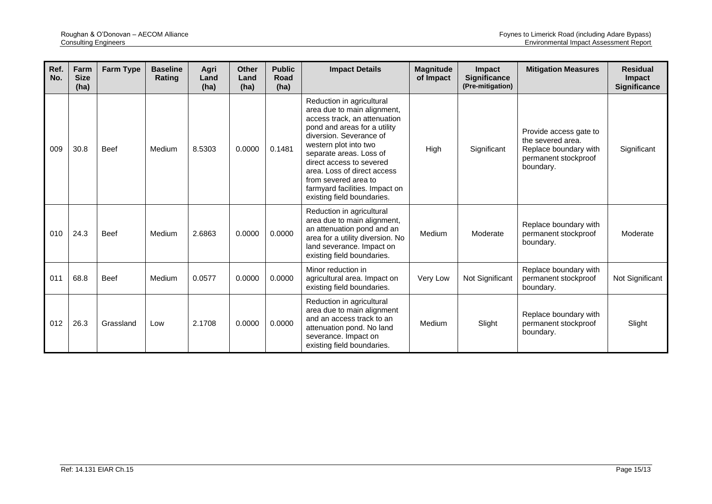| Ref.<br>No. | Farm<br><b>Size</b><br>(ha) | Farm Type   | <b>Baseline</b><br>Rating | Agri<br>Land<br>(ha) | <b>Other</b><br>Land<br>(ha) | <b>Public</b><br>Road<br>(ha) | <b>Impact Details</b>                                                                                                                                                                                                                                                                                                                                      | <b>Magnitude</b><br>of Impact | Impact<br><b>Significance</b><br>(Pre-mitigation) | <b>Mitigation Measures</b>                                                                                | <b>Residual</b><br>Impact<br><b>Significance</b> |
|-------------|-----------------------------|-------------|---------------------------|----------------------|------------------------------|-------------------------------|------------------------------------------------------------------------------------------------------------------------------------------------------------------------------------------------------------------------------------------------------------------------------------------------------------------------------------------------------------|-------------------------------|---------------------------------------------------|-----------------------------------------------------------------------------------------------------------|--------------------------------------------------|
| 009         | 30.8                        | Beef        | Medium                    | 8.5303               | 0.0000                       | 0.1481                        | Reduction in agricultural<br>area due to main alignment,<br>access track, an attenuation<br>pond and areas for a utility<br>diversion. Severance of<br>western plot into two<br>separate areas. Loss of<br>direct access to severed<br>area. Loss of direct access<br>from severed area to<br>farmyard facilities. Impact on<br>existing field boundaries. | High                          | Significant                                       | Provide access gate to<br>the severed area.<br>Replace boundary with<br>permanent stockproof<br>boundary. | Significant                                      |
| 010         | 24.3                        | <b>Beef</b> | Medium                    | 2.6863               | 0.0000                       | 0.0000                        | Reduction in agricultural<br>area due to main alignment,<br>an attenuation pond and an<br>area for a utility diversion. No<br>land severance. Impact on<br>existing field boundaries.                                                                                                                                                                      | Medium                        | Moderate                                          | Replace boundary with<br>permanent stockproof<br>boundary.                                                | Moderate                                         |
| 011         | 68.8                        | <b>Beef</b> | Medium                    | 0.0577               | 0.0000                       | 0.0000                        | Minor reduction in<br>agricultural area. Impact on<br>existing field boundaries.                                                                                                                                                                                                                                                                           | Very Low                      | Not Significant                                   | Replace boundary with<br>permanent stockproof<br>boundary.                                                | Not Significant                                  |
| 012         | 26.3                        | Grassland   | Low                       | 2.1708               | 0.0000                       | 0.0000                        | Reduction in agricultural<br>area due to main alignment<br>and an access track to an<br>attenuation pond. No land<br>severance. Impact on<br>existing field boundaries.                                                                                                                                                                                    | Medium                        | Slight                                            | Replace boundary with<br>permanent stockproof<br>boundary.                                                | Slight                                           |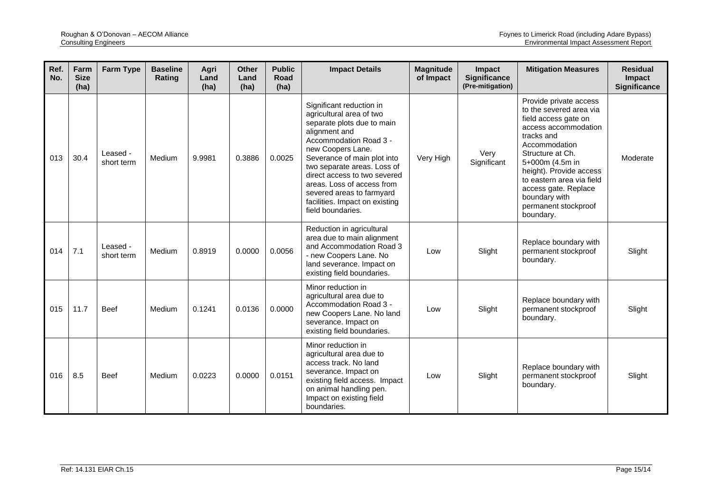| Ref.<br>No. | Farm<br><b>Size</b><br>(ha) | <b>Farm Type</b>       | <b>Baseline</b><br>Rating | Agri<br>Land<br>(ha) | <b>Other</b><br>Land<br>(ha) | <b>Public</b><br><b>Road</b><br>(ha) | <b>Impact Details</b>                                                                                                                                                                                                                                                                                                                                              | <b>Magnitude</b><br>of Impact | Impact<br><b>Significance</b><br>(Pre-mitigation) | <b>Mitigation Measures</b>                                                                                                                                                                                                                                                                                    | <b>Residual</b><br>Impact<br><b>Significance</b> |
|-------------|-----------------------------|------------------------|---------------------------|----------------------|------------------------------|--------------------------------------|--------------------------------------------------------------------------------------------------------------------------------------------------------------------------------------------------------------------------------------------------------------------------------------------------------------------------------------------------------------------|-------------------------------|---------------------------------------------------|---------------------------------------------------------------------------------------------------------------------------------------------------------------------------------------------------------------------------------------------------------------------------------------------------------------|--------------------------------------------------|
| 013         | 30.4                        | Leased -<br>short term | Medium                    | 9.9981               | 0.3886                       | 0.0025                               | Significant reduction in<br>agricultural area of two<br>separate plots due to main<br>alignment and<br>Accommodation Road 3 -<br>new Coopers Lane.<br>Severance of main plot into<br>two separate areas. Loss of<br>direct access to two severed<br>areas. Loss of access from<br>severed areas to farmyard<br>facilities. Impact on existing<br>field boundaries. | Very High                     | Very<br>Significant                               | Provide private access<br>to the severed area via<br>field access gate on<br>access accommodation<br>tracks and<br>Accommodation<br>Structure at Ch.<br>5+000m (4.5m in<br>height). Provide access<br>to eastern area via field<br>access gate. Replace<br>boundary with<br>permanent stockproof<br>boundary. | Moderate                                         |
| 014         | 7.1                         | Leased -<br>short term | Medium                    | 0.8919               | 0.0000                       | 0.0056                               | Reduction in agricultural<br>area due to main alignment<br>and Accommodation Road 3<br>- new Coopers Lane. No<br>land severance. Impact on<br>existing field boundaries.                                                                                                                                                                                           | Low                           | Slight                                            | Replace boundary with<br>permanent stockproof<br>boundary.                                                                                                                                                                                                                                                    | Slight                                           |
| 015         | 11.7                        | <b>Beef</b>            | Medium                    | 0.1241               | 0.0136                       | 0.0000                               | Minor reduction in<br>agricultural area due to<br>Accommodation Road 3 -<br>new Coopers Lane. No land<br>severance. Impact on<br>existing field boundaries.                                                                                                                                                                                                        | Low                           | Slight                                            | Replace boundary with<br>permanent stockproof<br>boundary.                                                                                                                                                                                                                                                    | Slight                                           |
| 016         | 8.5                         | <b>Beef</b>            | Medium                    | 0.0223               | 0.0000                       | 0.0151                               | Minor reduction in<br>agricultural area due to<br>access track. No land<br>severance. Impact on<br>existing field access. Impact<br>on animal handling pen.<br>Impact on existing field<br>boundaries.                                                                                                                                                             | Low                           | Slight                                            | Replace boundary with<br>permanent stockproof<br>boundary.                                                                                                                                                                                                                                                    | Slight                                           |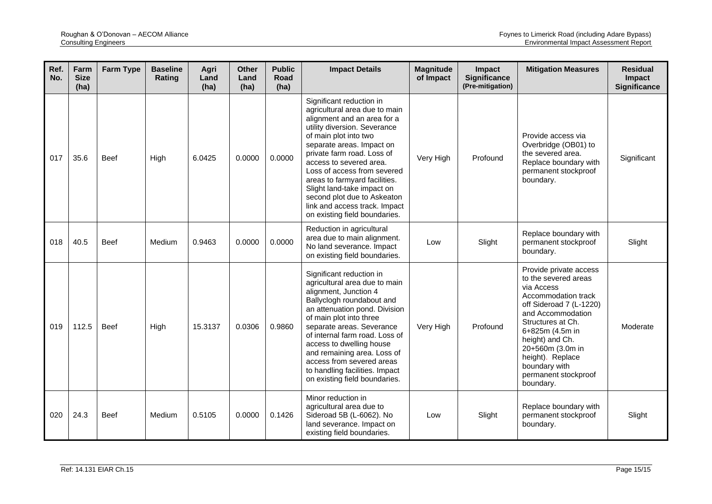| Ref.<br>No. | Farm<br><b>Size</b><br>(ha) | <b>Farm Type</b> | <b>Baseline</b><br>Rating | Agri<br>Land<br>(ha) | <b>Other</b><br>Land<br>(ha) | <b>Public</b><br>Road<br>(ha) | <b>Impact Details</b>                                                                                                                                                                                                                                                                                                                                                                                                                  | <b>Magnitude</b><br>of Impact | Impact<br>Significance<br>(Pre-mitigation) | <b>Mitigation Measures</b>                                                                                                                                                                                                                                                                   | <b>Residual</b><br>Impact<br><b>Significance</b> |
|-------------|-----------------------------|------------------|---------------------------|----------------------|------------------------------|-------------------------------|----------------------------------------------------------------------------------------------------------------------------------------------------------------------------------------------------------------------------------------------------------------------------------------------------------------------------------------------------------------------------------------------------------------------------------------|-------------------------------|--------------------------------------------|----------------------------------------------------------------------------------------------------------------------------------------------------------------------------------------------------------------------------------------------------------------------------------------------|--------------------------------------------------|
| 017         | 35.6                        | <b>Beef</b>      | High                      | 6.0425               | 0.0000                       | 0.0000                        | Significant reduction in<br>agricultural area due to main<br>alignment and an area for a<br>utility diversion. Severance<br>of main plot into two<br>separate areas. Impact on<br>private farm road. Loss of<br>access to severed area.<br>Loss of access from severed<br>areas to farmyard facilities.<br>Slight land-take impact on<br>second plot due to Askeaton<br>link and access track. Impact<br>on existing field boundaries. | Very High                     | Profound                                   | Provide access via<br>Overbridge (OB01) to<br>the severed area.<br>Replace boundary with<br>permanent stockproof<br>boundary.                                                                                                                                                                | Significant                                      |
| 018         | 40.5                        | <b>Beef</b>      | Medium                    | 0.9463               | 0.0000                       | 0.0000                        | Reduction in agricultural<br>area due to main alignment.<br>No land severance. Impact<br>on existing field boundaries.                                                                                                                                                                                                                                                                                                                 | Low                           | Slight                                     | Replace boundary with<br>permanent stockproof<br>boundary.                                                                                                                                                                                                                                   | Slight                                           |
| 019         | 112.5                       | <b>Beef</b>      | High                      | 15.3137              | 0.0306                       | 0.9860                        | Significant reduction in<br>agricultural area due to main<br>alignment, Junction 4<br>Ballyclogh roundabout and<br>an attenuation pond. Division<br>of main plot into three<br>separate areas. Severance<br>of internal farm road. Loss of<br>access to dwelling house<br>and remaining area. Loss of<br>access from severed areas<br>to handling facilities. Impact<br>on existing field boundaries.                                  | Very High                     | Profound                                   | Provide private access<br>to the severed areas<br>via Access<br>Accommodation track<br>off Sideroad 7 (L-1220)<br>and Accommodation<br>Structures at Ch.<br>6+825m (4.5m in<br>height) and Ch.<br>20+560m (3.0m in<br>height). Replace<br>boundary with<br>permanent stockproof<br>boundary. | Moderate                                         |
| 020         | 24.3                        | <b>Beef</b>      | Medium                    | 0.5105               | 0.0000                       | 0.1426                        | Minor reduction in<br>agricultural area due to<br>Sideroad 5B (L-6062). No<br>land severance. Impact on<br>existing field boundaries.                                                                                                                                                                                                                                                                                                  | Low                           | Slight                                     | Replace boundary with<br>permanent stockproof<br>boundary.                                                                                                                                                                                                                                   | Slight                                           |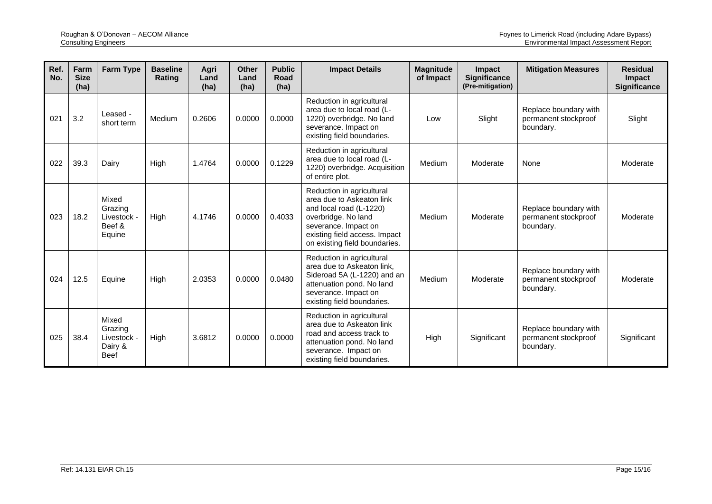| Ref.<br>No. | Farm<br><b>Size</b><br>(ha) | <b>Farm Type</b>                                          | <b>Baseline</b><br>Rating | Agri<br>Land<br>(ha) | <b>Other</b><br>Land<br>(ha) | <b>Public</b><br>Road<br>(ha) | <b>Impact Details</b>                                                                                                                                                                              | <b>Magnitude</b><br>of Impact | <b>Impact</b><br><b>Significance</b><br>(Pre-mitigation) | <b>Mitigation Measures</b>                                 | <b>Residual</b><br><b>Impact</b><br><b>Significance</b> |
|-------------|-----------------------------|-----------------------------------------------------------|---------------------------|----------------------|------------------------------|-------------------------------|----------------------------------------------------------------------------------------------------------------------------------------------------------------------------------------------------|-------------------------------|----------------------------------------------------------|------------------------------------------------------------|---------------------------------------------------------|
| 021         | 3.2                         | Leased -<br>short term                                    | Medium                    | 0.2606               | 0.0000                       | 0.0000                        | Reduction in agricultural<br>area due to local road (L-<br>1220) overbridge. No land<br>severance. Impact on<br>existing field boundaries.                                                         | Low                           | Slight                                                   | Replace boundary with<br>permanent stockproof<br>boundary. | Slight                                                  |
| 022         | 39.3                        | Dairy                                                     | High                      | 1.4764               | 0.0000                       | 0.1229                        | Reduction in agricultural<br>area due to local road (L-<br>1220) overbridge. Acquisition<br>of entire plot.                                                                                        | Medium                        | Moderate                                                 | None                                                       | Moderate                                                |
| 023         | 18.2                        | Mixed<br>Grazing<br>Livestock -<br>Beef &<br>Equine       | High                      | 4.1746               | 0.0000                       | 0.4033                        | Reduction in agricultural<br>area due to Askeaton link<br>and local road (L-1220)<br>overbridge. No land<br>severance. Impact on<br>existing field access. Impact<br>on existing field boundaries. | Medium                        | Moderate                                                 | Replace boundary with<br>permanent stockproof<br>boundary. | Moderate                                                |
| 024         | 12.5                        | Equine                                                    | High                      | 2.0353               | 0.0000                       | 0.0480                        | Reduction in agricultural<br>area due to Askeaton link,<br>Sideroad 5A (L-1220) and an<br>attenuation pond. No land<br>severance. Impact on<br>existing field boundaries.                          | Medium                        | Moderate                                                 | Replace boundary with<br>permanent stockproof<br>boundary. | Moderate                                                |
| 025         | 38.4                        | Mixed<br>Grazing<br>Livestock -<br>Dairy &<br><b>Beef</b> | High                      | 3.6812               | 0.0000                       | 0.0000                        | Reduction in agricultural<br>area due to Askeaton link<br>road and access track to<br>attenuation pond. No land<br>severance. Impact on<br>existing field boundaries.                              | High                          | Significant                                              | Replace boundary with<br>permanent stockproof<br>boundary. | Significant                                             |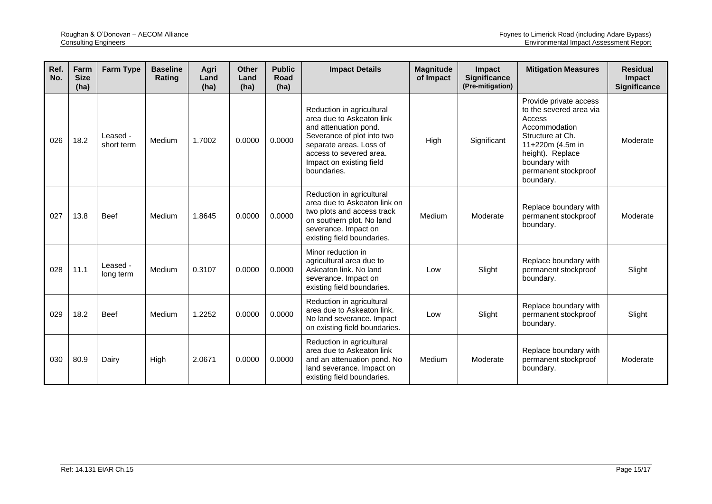| Ref.<br>No. | Farm<br><b>Size</b><br>(ha) | <b>Farm Type</b>       | <b>Baseline</b><br>Rating | Agri<br>Land<br>(ha) | <b>Other</b><br>Land<br>(ha) | <b>Public</b><br>Road<br>(ha) | <b>Impact Details</b>                                                                                                                                                                                          | <b>Magnitude</b><br>of Impact | <b>Impact</b><br><b>Significance</b><br>(Pre-mitigation) | <b>Mitigation Measures</b>                                                                                                                                                                     | <b>Residual</b><br><b>Impact</b><br><b>Significance</b> |
|-------------|-----------------------------|------------------------|---------------------------|----------------------|------------------------------|-------------------------------|----------------------------------------------------------------------------------------------------------------------------------------------------------------------------------------------------------------|-------------------------------|----------------------------------------------------------|------------------------------------------------------------------------------------------------------------------------------------------------------------------------------------------------|---------------------------------------------------------|
| 026         | 18.2                        | Leased -<br>short term | Medium                    | 1.7002               | 0.0000                       | 0.0000                        | Reduction in agricultural<br>area due to Askeaton link<br>and attenuation pond.<br>Severance of plot into two<br>separate areas. Loss of<br>access to severed area.<br>Impact on existing field<br>boundaries. | High                          | Significant                                              | Provide private access<br>to the severed area via<br>Access<br>Accommodation<br>Structure at Ch.<br>11+220m (4.5m in<br>height). Replace<br>boundary with<br>permanent stockproof<br>boundary. | Moderate                                                |
| 027         | 13.8                        | <b>Beef</b>            | Medium                    | 1.8645               | 0.0000                       | 0.0000                        | Reduction in agricultural<br>area due to Askeaton link on<br>two plots and access track<br>on southern plot. No land<br>severance. Impact on<br>existing field boundaries.                                     | Medium                        | Moderate                                                 | Replace boundary with<br>permanent stockproof<br>boundary.                                                                                                                                     | Moderate                                                |
| 028         | 11.1                        | Leased -<br>long term  | Medium                    | 0.3107               | 0.0000                       | 0.0000                        | Minor reduction in<br>agricultural area due to<br>Askeaton link. No land<br>severance. Impact on<br>existing field boundaries.                                                                                 | Low                           | Slight                                                   | Replace boundary with<br>permanent stockproof<br>boundary.                                                                                                                                     | Slight                                                  |
| 029         | 18.2                        | <b>Beef</b>            | Medium                    | 1.2252               | 0.0000                       | 0.0000                        | Reduction in agricultural<br>area due to Askeaton link.<br>No land severance. Impact<br>on existing field boundaries.                                                                                          | Low                           | Slight                                                   | Replace boundary with<br>permanent stockproof<br>boundary.                                                                                                                                     | Slight                                                  |
| 030         | 80.9                        | Dairy                  | High                      | 2.0671               | 0.0000                       | 0.0000                        | Reduction in agricultural<br>area due to Askeaton link<br>and an attenuation pond. No<br>land severance. Impact on<br>existing field boundaries.                                                               | Medium                        | Moderate                                                 | Replace boundary with<br>permanent stockproof<br>boundary.                                                                                                                                     | Moderate                                                |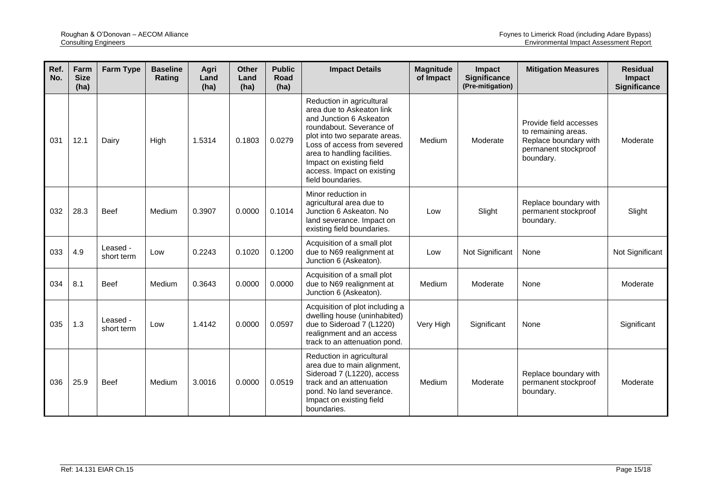| Ref.<br>No. | Farm<br><b>Size</b><br>(ha) | <b>Farm Type</b>       | <b>Baseline</b><br>Rating | Agri<br>Land<br>(ha) | <b>Other</b><br>Land<br>(ha) | <b>Public</b><br>Road<br>(ha) | <b>Impact Details</b>                                                                                                                                                                                                                                                                        | <b>Magnitude</b><br>of Impact | Impact<br><b>Significance</b><br>(Pre-mitigation) | <b>Mitigation Measures</b>                                                                                  | <b>Residual</b><br>Impact<br><b>Significance</b> |
|-------------|-----------------------------|------------------------|---------------------------|----------------------|------------------------------|-------------------------------|----------------------------------------------------------------------------------------------------------------------------------------------------------------------------------------------------------------------------------------------------------------------------------------------|-------------------------------|---------------------------------------------------|-------------------------------------------------------------------------------------------------------------|--------------------------------------------------|
| 031         | 12.1                        | Dairv                  | High                      | 1.5314               | 0.1803                       | 0.0279                        | Reduction in agricultural<br>area due to Askeaton link<br>and Junction 6 Askeaton<br>roundabout. Severance of<br>plot into two separate areas.<br>Loss of access from severed<br>area to handling facilities.<br>Impact on existing field<br>access. Impact on existing<br>field boundaries. | Medium                        | Moderate                                          | Provide field accesses<br>to remaining areas.<br>Replace boundary with<br>permanent stockproof<br>boundary. | Moderate                                         |
| 032         | 28.3                        | <b>Beef</b>            | Medium                    | 0.3907               | 0.0000                       | 0.1014                        | Minor reduction in<br>agricultural area due to<br>Junction 6 Askeaton, No<br>land severance. Impact on<br>existing field boundaries.                                                                                                                                                         | Low                           | Slight                                            | Replace boundary with<br>permanent stockproof<br>boundary.                                                  | Slight                                           |
| 033         | 4.9                         | Leased -<br>short term | Low                       | 0.2243               | 0.1020                       | 0.1200                        | Acquisition of a small plot<br>due to N69 realignment at<br>Junction 6 (Askeaton).                                                                                                                                                                                                           | Low                           | Not Significant                                   | None                                                                                                        | Not Significant                                  |
| 034         | 8.1                         | <b>Beef</b>            | Medium                    | 0.3643               | 0.0000                       | 0.0000                        | Acquisition of a small plot<br>due to N69 realignment at<br>Junction 6 (Askeaton).                                                                                                                                                                                                           | Medium                        | Moderate                                          | None                                                                                                        | Moderate                                         |
| 035         | 1.3                         | Leased -<br>short term | Low                       | 1.4142               | 0.0000                       | 0.0597                        | Acquisition of plot including a<br>dwelling house (uninhabited)<br>due to Sideroad 7 (L1220)<br>realignment and an access<br>track to an attenuation pond.                                                                                                                                   | Very High                     | Significant                                       | None                                                                                                        | Significant                                      |
| 036         | 25.9                        | <b>Beef</b>            | Medium                    | 3.0016               | 0.0000                       | 0.0519                        | Reduction in agricultural<br>area due to main alignment,<br>Sideroad 7 (L1220), access<br>track and an attenuation<br>pond. No land severance.<br>Impact on existing field<br>boundaries.                                                                                                    | Medium                        | Moderate                                          | Replace boundary with<br>permanent stockproof<br>boundary.                                                  | Moderate                                         |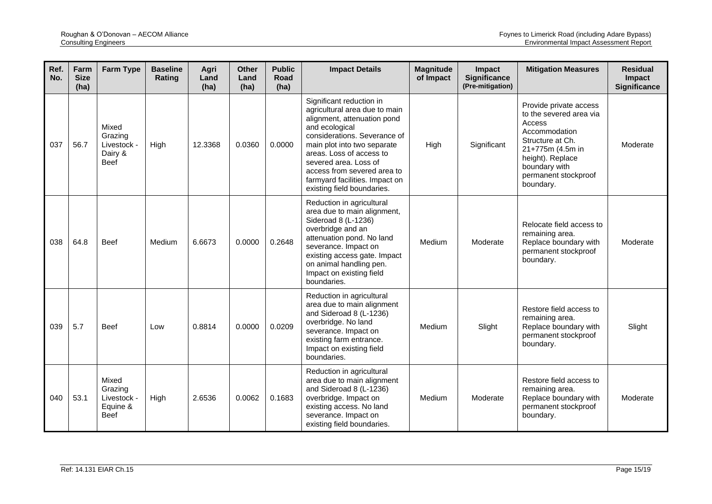| Ref.<br>No. | Farm<br><b>Size</b><br>(ha) | <b>Farm Type</b>                                           | <b>Baseline</b><br>Rating | Agri<br>Land<br>(ha) | <b>Other</b><br>Land<br>(ha) | <b>Public</b><br>Road<br>(ha) | <b>Impact Details</b>                                                                                                                                                                                                                                                                                                         | <b>Magnitude</b><br>of Impact | <b>Impact</b><br><b>Significance</b><br>(Pre-mitigation) | <b>Mitigation Measures</b>                                                                                                                                                                     | <b>Residual</b><br><b>Impact</b><br><b>Significance</b> |
|-------------|-----------------------------|------------------------------------------------------------|---------------------------|----------------------|------------------------------|-------------------------------|-------------------------------------------------------------------------------------------------------------------------------------------------------------------------------------------------------------------------------------------------------------------------------------------------------------------------------|-------------------------------|----------------------------------------------------------|------------------------------------------------------------------------------------------------------------------------------------------------------------------------------------------------|---------------------------------------------------------|
| 037         | 56.7                        | Mixed<br>Grazing<br>Livestock -<br>Dairy &<br><b>Beef</b>  | High                      | 12.3368              | 0.0360                       | 0.0000                        | Significant reduction in<br>agricultural area due to main<br>alignment, attenuation pond<br>and ecological<br>considerations. Severance of<br>main plot into two separate<br>areas. Loss of access to<br>severed area. Loss of<br>access from severed area to<br>farmyard facilities. Impact on<br>existing field boundaries. | High                          | Significant                                              | Provide private access<br>to the severed area via<br>Access<br>Accommodation<br>Structure at Ch.<br>21+775m (4.5m in<br>height). Replace<br>boundary with<br>permanent stockproof<br>boundary. | Moderate                                                |
| 038         | 64.8                        | <b>Beef</b>                                                | Medium                    | 6.6673               | 0.0000                       | 0.2648                        | Reduction in agricultural<br>area due to main alignment,<br>Sideroad 8 (L-1236)<br>overbridge and an<br>attenuation pond. No land<br>severance. Impact on<br>existing access gate. Impact<br>on animal handling pen.<br>Impact on existing field<br>boundaries.                                                               | Medium                        | Moderate                                                 | Relocate field access to<br>remaining area.<br>Replace boundary with<br>permanent stockproof<br>boundary.                                                                                      | Moderate                                                |
| 039         | 5.7                         | <b>Beef</b>                                                | Low                       | 0.8814               | 0.0000                       | 0.0209                        | Reduction in agricultural<br>area due to main alignment<br>and Sideroad 8 (L-1236)<br>overbridge. No land<br>severance. Impact on<br>existing farm entrance.<br>Impact on existing field<br>boundaries.                                                                                                                       | Medium                        | Slight                                                   | Restore field access to<br>remaining area.<br>Replace boundary with<br>permanent stockproof<br>boundary.                                                                                       | Slight                                                  |
| 040         | 53.1                        | Mixed<br>Grazing<br>Livestock -<br>Equine &<br><b>Beef</b> | High                      | 2.6536               | 0.0062                       | 0.1683                        | Reduction in agricultural<br>area due to main alignment<br>and Sideroad 8 (L-1236)<br>overbridge. Impact on<br>existing access. No land<br>severance. Impact on<br>existing field boundaries.                                                                                                                                 | Medium                        | Moderate                                                 | Restore field access to<br>remaining area.<br>Replace boundary with<br>permanent stockproof<br>boundary.                                                                                       | Moderate                                                |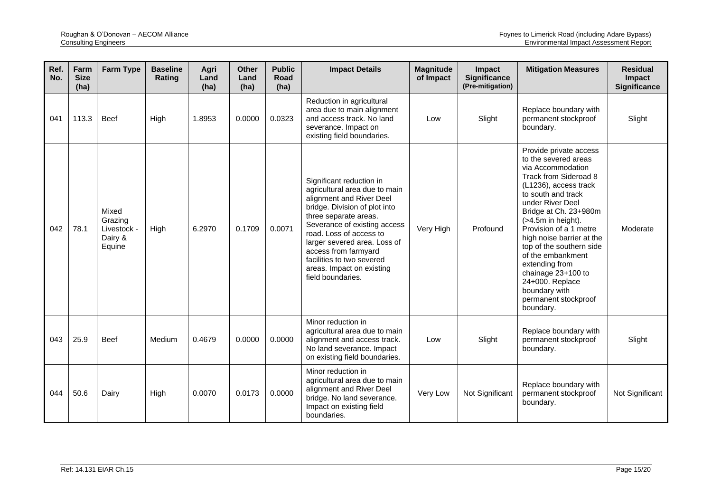| Ref.<br>No. | Farm<br><b>Size</b><br>(ha) | <b>Farm Type</b>                                     | <b>Baseline</b><br>Rating | Agri<br>Land<br>(ha) | <b>Other</b><br>Land<br>(ha) | <b>Public</b><br>Road<br>(ha) | <b>Impact Details</b>                                                                                                                                                                                                                                                                                                                             | <b>Magnitude</b><br>of Impact | Impact<br><b>Significance</b><br>(Pre-mitigation) | <b>Mitigation Measures</b>                                                                                                                                                                                                                                                                                                                                                                                                                 | <b>Residual</b><br>Impact<br><b>Significance</b> |
|-------------|-----------------------------|------------------------------------------------------|---------------------------|----------------------|------------------------------|-------------------------------|---------------------------------------------------------------------------------------------------------------------------------------------------------------------------------------------------------------------------------------------------------------------------------------------------------------------------------------------------|-------------------------------|---------------------------------------------------|--------------------------------------------------------------------------------------------------------------------------------------------------------------------------------------------------------------------------------------------------------------------------------------------------------------------------------------------------------------------------------------------------------------------------------------------|--------------------------------------------------|
| 041         | 113.3                       | <b>Beef</b>                                          | High                      | 1.8953               | 0.0000                       | 0.0323                        | Reduction in agricultural<br>area due to main alignment<br>and access track. No land<br>severance. Impact on<br>existing field boundaries.                                                                                                                                                                                                        | Low                           | Slight                                            | Replace boundary with<br>permanent stockproof<br>boundary.                                                                                                                                                                                                                                                                                                                                                                                 | Slight                                           |
| 042         | 78.1                        | Mixed<br>Grazing<br>Livestock -<br>Dairy &<br>Equine | High                      | 6.2970               | 0.1709                       | 0.0071                        | Significant reduction in<br>agricultural area due to main<br>alignment and River Deel<br>bridge. Division of plot into<br>three separate areas.<br>Severance of existing access<br>road. Loss of access to<br>larger severed area. Loss of<br>access from farmyard<br>facilities to two severed<br>areas. Impact on existing<br>field boundaries. | Very High                     | Profound                                          | Provide private access<br>to the severed areas<br>via Accommodation<br>Track from Sideroad 8<br>(L1236), access track<br>to south and track<br>under River Deel<br>Bridge at Ch. 23+980m<br>$($ >4.5m in height).<br>Provision of a 1 metre<br>high noise barrier at the<br>top of the southern side<br>of the embankment<br>extending from<br>chainage 23+100 to<br>24+000. Replace<br>boundary with<br>permanent stockproof<br>boundary. | Moderate                                         |
| 043         | 25.9                        | <b>Beef</b>                                          | Medium                    | 0.4679               | 0.0000                       | 0.0000                        | Minor reduction in<br>agricultural area due to main<br>alignment and access track.<br>No land severance. Impact<br>on existing field boundaries.                                                                                                                                                                                                  | Low                           | Slight                                            | Replace boundary with<br>permanent stockproof<br>boundary.                                                                                                                                                                                                                                                                                                                                                                                 | Slight                                           |
| 044         | 50.6                        | Dairy                                                | High                      | 0.0070               | 0.0173                       | 0.0000                        | Minor reduction in<br>agricultural area due to main<br>alignment and River Deel<br>bridge. No land severance.<br>Impact on existing field<br>boundaries.                                                                                                                                                                                          | Very Low                      | Not Significant                                   | Replace boundary with<br>permanent stockproof<br>boundary.                                                                                                                                                                                                                                                                                                                                                                                 | Not Significant                                  |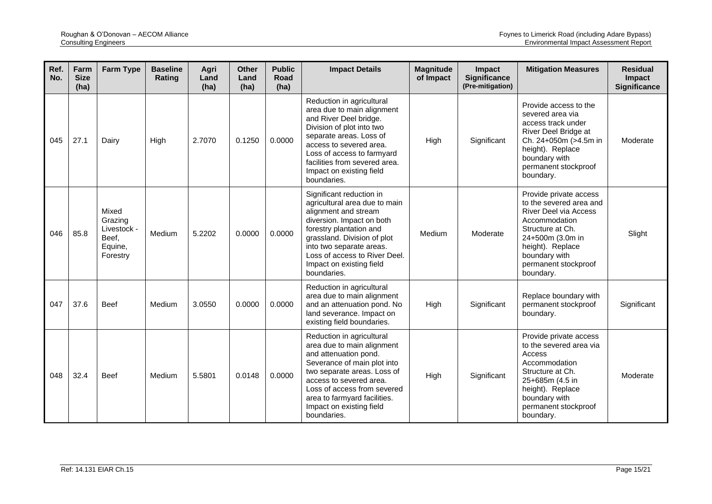| Ref.<br>No. | Farm<br><b>Size</b><br>(ha) | <b>Farm Type</b>                                                | <b>Baseline</b><br>Rating | Agri<br>Land<br>(ha) | <b>Other</b><br>Land<br>(ha) | <b>Public</b><br>Road<br>(ha) | <b>Impact Details</b>                                                                                                                                                                                                                                                               | <b>Magnitude</b><br>of Impact | <b>Impact</b><br><b>Significance</b><br>(Pre-mitigation) | <b>Mitigation Measures</b>                                                                                                                                                                                    | <b>Residual</b><br>Impact<br><b>Significance</b> |
|-------------|-----------------------------|-----------------------------------------------------------------|---------------------------|----------------------|------------------------------|-------------------------------|-------------------------------------------------------------------------------------------------------------------------------------------------------------------------------------------------------------------------------------------------------------------------------------|-------------------------------|----------------------------------------------------------|---------------------------------------------------------------------------------------------------------------------------------------------------------------------------------------------------------------|--------------------------------------------------|
| 045         | 27.1                        | Dairy                                                           | High                      | 2.7070               | 0.1250                       | 0.0000                        | Reduction in agricultural<br>area due to main alignment<br>and River Deel bridge.<br>Division of plot into two<br>separate areas. Loss of<br>access to severed area.<br>Loss of access to farmyard<br>facilities from severed area.<br>Impact on existing field<br>boundaries.      | High                          | Significant                                              | Provide access to the<br>severed area via<br>access track under<br>River Deel Bridge at<br>Ch. 24+050m (>4.5m in<br>height). Replace<br>boundary with<br>permanent stockproof<br>boundary.                    | Moderate                                         |
| 046         | 85.8                        | Mixed<br>Grazing<br>Livestock -<br>Beef,<br>Equine,<br>Forestry | Medium                    | 5.2202               | 0.0000                       | 0.0000                        | Significant reduction in<br>agricultural area due to main<br>alignment and stream<br>diversion. Impact on both<br>forestry plantation and<br>grassland. Division of plot<br>into two separate areas.<br>Loss of access to River Deel.<br>Impact on existing field<br>boundaries.    | Medium                        | Moderate                                                 | Provide private access<br>to the severed area and<br>River Deel via Access<br>Accommodation<br>Structure at Ch.<br>24+500m (3.0m in<br>height). Replace<br>boundary with<br>permanent stockproof<br>boundary. | Slight                                           |
| 047         | 37.6                        | <b>Beef</b>                                                     | Medium                    | 3.0550               | 0.0000                       | 0.0000                        | Reduction in agricultural<br>area due to main alignment<br>and an attenuation pond. No<br>land severance. Impact on<br>existing field boundaries.                                                                                                                                   | High                          | Significant                                              | Replace boundary with<br>permanent stockproof<br>boundary.                                                                                                                                                    | Significant                                      |
| 048         | 32.4                        | <b>Beef</b>                                                     | Medium                    | 5.5801               | 0.0148                       | 0.0000                        | Reduction in agricultural<br>area due to main alignment<br>and attenuation pond.<br>Severance of main plot into<br>two separate areas. Loss of<br>access to severed area.<br>Loss of access from severed<br>area to farmyard facilities.<br>Impact on existing field<br>boundaries. | High                          | Significant                                              | Provide private access<br>to the severed area via<br>Access<br>Accommodation<br>Structure at Ch.<br>25+685m (4.5 in<br>height). Replace<br>boundary with<br>permanent stockproof<br>boundary.                 | Moderate                                         |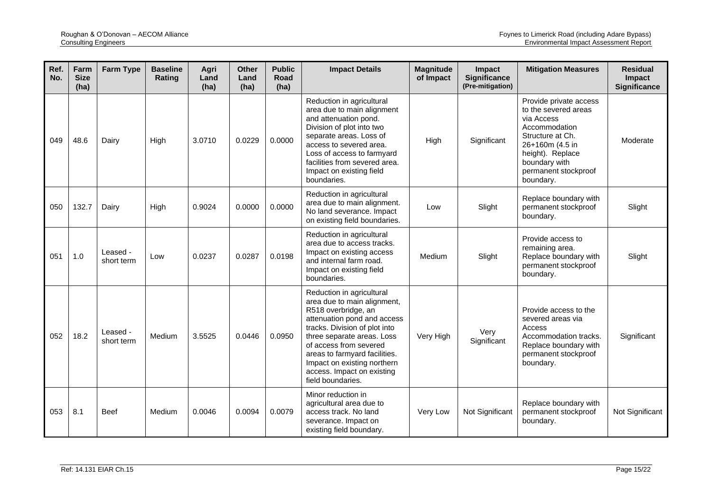| Ref.<br>No. | Farm<br><b>Size</b><br>(ha) | <b>Farm Type</b>       | <b>Baseline</b><br>Rating | Agri<br>Land<br>(ha) | <b>Other</b><br>Land<br>(ha) | <b>Public</b><br>Road<br>(ha) | <b>Impact Details</b>                                                                                                                                                                                                                                                                                                      | <b>Magnitude</b><br>of Impact | Impact<br><b>Significance</b><br>(Pre-mitigation) | <b>Mitigation Measures</b>                                                                                                                                                                     | <b>Residual</b><br>Impact<br><b>Significance</b> |
|-------------|-----------------------------|------------------------|---------------------------|----------------------|------------------------------|-------------------------------|----------------------------------------------------------------------------------------------------------------------------------------------------------------------------------------------------------------------------------------------------------------------------------------------------------------------------|-------------------------------|---------------------------------------------------|------------------------------------------------------------------------------------------------------------------------------------------------------------------------------------------------|--------------------------------------------------|
| 049         | 48.6                        | Dairy                  | High                      | 3.0710               | 0.0229                       | 0.0000                        | Reduction in agricultural<br>area due to main alignment<br>and attenuation pond.<br>Division of plot into two<br>separate areas. Loss of<br>access to severed area.<br>Loss of access to farmyard<br>facilities from severed area.<br>Impact on existing field<br>boundaries.                                              | High                          | Significant                                       | Provide private access<br>to the severed areas<br>via Access<br>Accommodation<br>Structure at Ch.<br>26+160m (4.5 in<br>height). Replace<br>boundary with<br>permanent stockproof<br>boundary. | Moderate                                         |
| 050         | 132.7                       | Dairy                  | High                      | 0.9024               | 0.0000                       | 0.0000                        | Reduction in agricultural<br>area due to main alignment.<br>No land severance. Impact<br>on existing field boundaries.                                                                                                                                                                                                     | Low                           | Slight                                            | Replace boundary with<br>permanent stockproof<br>boundary.                                                                                                                                     | Slight                                           |
| 051         | 1.0                         | Leased -<br>short term | Low                       | 0.0237               | 0.0287                       | 0.0198                        | Reduction in agricultural<br>area due to access tracks.<br>Impact on existing access<br>and internal farm road.<br>Impact on existing field<br>boundaries.                                                                                                                                                                 | Medium                        | Slight                                            | Provide access to<br>remaining area.<br>Replace boundary with<br>permanent stockproof<br>boundary.                                                                                             | Slight                                           |
| 052         | 18.2                        | Leased -<br>short term | Medium                    | 3.5525               | 0.0446                       | 0.0950                        | Reduction in agricultural<br>area due to main alignment,<br>R518 overbridge, an<br>attenuation pond and access<br>tracks. Division of plot into<br>three separate areas. Loss<br>of access from severed<br>areas to farmyard facilities.<br>Impact on existing northern<br>access. Impact on existing<br>field boundaries. | Very High                     | Very<br>Significant                               | Provide access to the<br>severed areas via<br>Access<br>Accommodation tracks.<br>Replace boundary with<br>permanent stockproof<br>boundary.                                                    | Significant                                      |
| 053         | 8.1                         | <b>Beef</b>            | Medium                    | 0.0046               | 0.0094                       | 0.0079                        | Minor reduction in<br>agricultural area due to<br>access track. No land<br>severance. Impact on<br>existing field boundary.                                                                                                                                                                                                | Very Low                      | Not Significant                                   | Replace boundary with<br>permanent stockproof<br>boundary.                                                                                                                                     | Not Significant                                  |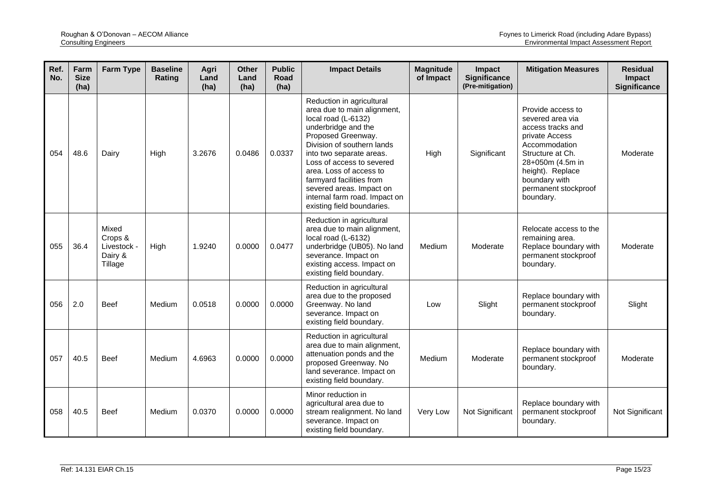| Ref.<br>No. | Farm<br><b>Size</b><br>(ha) | <b>Farm Type</b>                                      | <b>Baseline</b><br>Rating | Agri<br>Land<br>(ha) | <b>Other</b><br>Land<br>(ha) | <b>Public</b><br>Road<br>(ha) | <b>Impact Details</b>                                                                                                                                                                                                                                                                                                                                                 | <b>Magnitude</b><br>of Impact | Impact<br><b>Significance</b><br>(Pre-mitigation) | <b>Mitigation Measures</b>                                                                                                                                                                                      | <b>Residual</b><br>Impact<br><b>Significance</b> |
|-------------|-----------------------------|-------------------------------------------------------|---------------------------|----------------------|------------------------------|-------------------------------|-----------------------------------------------------------------------------------------------------------------------------------------------------------------------------------------------------------------------------------------------------------------------------------------------------------------------------------------------------------------------|-------------------------------|---------------------------------------------------|-----------------------------------------------------------------------------------------------------------------------------------------------------------------------------------------------------------------|--------------------------------------------------|
| 054         | 48.6                        | Dairy                                                 | High                      | 3.2676               | 0.0486                       | 0.0337                        | Reduction in agricultural<br>area due to main alignment,<br>local road (L-6132)<br>underbridge and the<br>Proposed Greenway.<br>Division of southern lands<br>into two separate areas.<br>Loss of access to severed<br>area. Loss of access to<br>farmyard facilities from<br>severed areas. Impact on<br>internal farm road. Impact on<br>existing field boundaries. | High                          | Significant                                       | Provide access to<br>severed area via<br>access tracks and<br>private Access<br>Accommodation<br>Structure at Ch.<br>28+050m (4.5m in<br>height). Replace<br>boundary with<br>permanent stockproof<br>boundary. | Moderate                                         |
| 055         | 36.4                        | Mixed<br>Crops &<br>Livestock -<br>Dairy &<br>Tillage | High                      | 1.9240               | 0.0000                       | 0.0477                        | Reduction in agricultural<br>area due to main alignment,<br>local road (L-6132)<br>underbridge (UB05). No land<br>severance. Impact on<br>existing access. Impact on<br>existing field boundary.                                                                                                                                                                      | Medium                        | Moderate                                          | Relocate access to the<br>remaining area.<br>Replace boundary with<br>permanent stockproof<br>boundary.                                                                                                         | Moderate                                         |
| 056         | 2.0                         | <b>Beef</b>                                           | Medium                    | 0.0518               | 0.0000                       | 0.0000                        | Reduction in agricultural<br>area due to the proposed<br>Greenway. No land<br>severance. Impact on<br>existing field boundary.                                                                                                                                                                                                                                        | Low                           | Slight                                            | Replace boundary with<br>permanent stockproof<br>boundary.                                                                                                                                                      | Slight                                           |
| 057         | 40.5                        | <b>Beef</b>                                           | Medium                    | 4.6963               | 0.0000                       | 0.0000                        | Reduction in agricultural<br>area due to main alignment,<br>attenuation ponds and the<br>proposed Greenway. No<br>land severance. Impact on<br>existing field boundary.                                                                                                                                                                                               | Medium                        | Moderate                                          | Replace boundary with<br>permanent stockproof<br>boundary.                                                                                                                                                      | Moderate                                         |
| 058         | 40.5                        | <b>Beef</b>                                           | Medium                    | 0.0370               | 0.0000                       | 0.0000                        | Minor reduction in<br>agricultural area due to<br>stream realignment. No land<br>severance. Impact on<br>existing field boundary.                                                                                                                                                                                                                                     | Very Low                      | Not Significant                                   | Replace boundary with<br>permanent stockproof<br>boundary.                                                                                                                                                      | Not Significant                                  |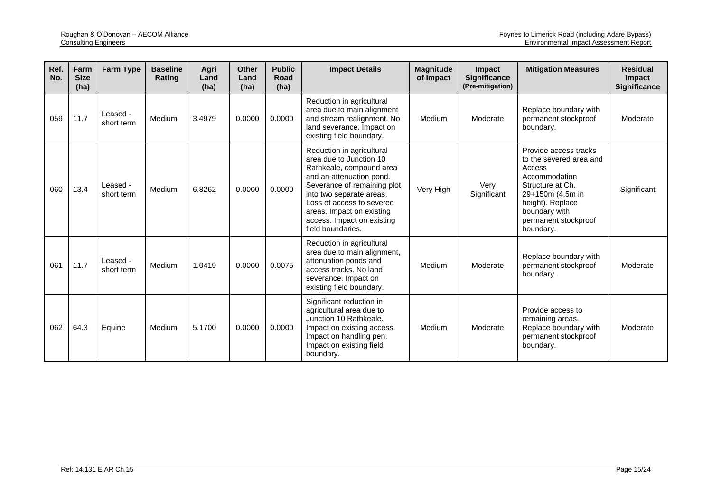| Ref.<br>No. | Farm<br><b>Size</b><br>(ha) | <b>Farm Type</b>       | <b>Baseline</b><br>Rating | Agri<br>Land<br>(ha) | <b>Other</b><br>Land<br>(ha) | <b>Public</b><br>Road<br>(ha) | <b>Impact Details</b>                                                                                                                                                                                                                                                                | <b>Magnitude</b><br>of Impact | <b>Impact</b><br><b>Significance</b><br>(Pre-mitigation) | <b>Mitigation Measures</b>                                                                                                                                                                    | <b>Residual</b><br><b>Impact</b><br><b>Significance</b> |
|-------------|-----------------------------|------------------------|---------------------------|----------------------|------------------------------|-------------------------------|--------------------------------------------------------------------------------------------------------------------------------------------------------------------------------------------------------------------------------------------------------------------------------------|-------------------------------|----------------------------------------------------------|-----------------------------------------------------------------------------------------------------------------------------------------------------------------------------------------------|---------------------------------------------------------|
| 059         | 11.7                        | Leased -<br>short term | Medium                    | 3.4979               | 0.0000                       | 0.0000                        | Reduction in agricultural<br>area due to main alignment<br>and stream realignment. No<br>land severance. Impact on<br>existing field boundary.                                                                                                                                       | Medium                        | Moderate                                                 | Replace boundary with<br>permanent stockproof<br>boundary.                                                                                                                                    | Moderate                                                |
| 060         | 13.4                        | Leased -<br>short term | Medium                    | 6.8262               | 0.0000                       | 0.0000                        | Reduction in agricultural<br>area due to Junction 10<br>Rathkeale, compound area<br>and an attenuation pond.<br>Severance of remaining plot<br>into two separate areas.<br>Loss of access to severed<br>areas. Impact on existing<br>access. Impact on existing<br>field boundaries. | Very High                     | Very<br>Significant                                      | Provide access tracks<br>to the severed area and<br>Access<br>Accommodation<br>Structure at Ch.<br>29+150m (4.5m in<br>height). Replace<br>boundary with<br>permanent stockproof<br>boundary. | Significant                                             |
| 061         | 11.7                        | Leased -<br>short term | Medium                    | 1.0419               | 0.0000                       | 0.0075                        | Reduction in agricultural<br>area due to main alignment,<br>attenuation ponds and<br>access tracks. No land<br>severance. Impact on<br>existing field boundary.                                                                                                                      | Medium                        | Moderate                                                 | Replace boundary with<br>permanent stockproof<br>boundary.                                                                                                                                    | Moderate                                                |
| 062         | 64.3                        | Equine                 | Medium                    | 5.1700               | 0.0000                       | 0.0000                        | Significant reduction in<br>agricultural area due to<br>Junction 10 Rathkeale.<br>Impact on existing access.<br>Impact on handling pen.<br>Impact on existing field<br>boundary.                                                                                                     | Medium                        | Moderate                                                 | Provide access to<br>remaining areas.<br>Replace boundary with<br>permanent stockproof<br>boundary.                                                                                           | Moderate                                                |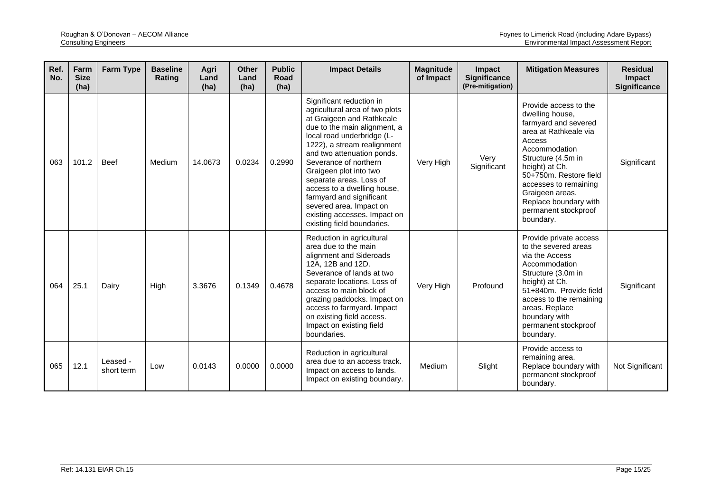| Ref.<br>No. | Farm<br><b>Size</b><br>(ha) | <b>Farm Type</b>       | <b>Baseline</b><br>Rating | Agri<br>Land<br>(ha) | <b>Other</b><br>Land<br>(ha) | <b>Public</b><br>Road<br>(ha) | <b>Impact Details</b>                                                                                                                                                                                                                                                                                                                                                                                                                                | <b>Magnitude</b><br>of Impact | <b>Impact</b><br><b>Significance</b><br>(Pre-mitigation) | <b>Mitigation Measures</b>                                                                                                                                                                                                                                                                       | <b>Residual</b><br>Impact<br>Significance |
|-------------|-----------------------------|------------------------|---------------------------|----------------------|------------------------------|-------------------------------|------------------------------------------------------------------------------------------------------------------------------------------------------------------------------------------------------------------------------------------------------------------------------------------------------------------------------------------------------------------------------------------------------------------------------------------------------|-------------------------------|----------------------------------------------------------|--------------------------------------------------------------------------------------------------------------------------------------------------------------------------------------------------------------------------------------------------------------------------------------------------|-------------------------------------------|
| 063         | 101.2                       | <b>Beef</b>            | Medium                    | 14.0673              | 0.0234                       | 0.2990                        | Significant reduction in<br>agricultural area of two plots<br>at Graigeen and Rathkeale<br>due to the main alignment, a<br>local road underbridge (L-<br>1222), a stream realignment<br>and two attenuation ponds.<br>Severance of northern<br>Graigeen plot into two<br>separate areas. Loss of<br>access to a dwelling house,<br>farmyard and significant<br>severed area. Impact on<br>existing accesses. Impact on<br>existing field boundaries. | Very High                     | Very<br>Significant                                      | Provide access to the<br>dwelling house,<br>farmyard and severed<br>area at Rathkeale via<br>Access<br>Accommodation<br>Structure (4.5m in<br>height) at Ch.<br>50+750m. Restore field<br>accesses to remaining<br>Graigeen areas.<br>Replace boundary with<br>permanent stockproof<br>boundary. | Significant                               |
| 064         | 25.1                        | Dairy                  | High                      | 3.3676               | 0.1349                       | 0.4678                        | Reduction in agricultural<br>area due to the main<br>alignment and Sideroads<br>12A, 12B and 12D.<br>Severance of lands at two<br>separate locations. Loss of<br>access to main block of<br>grazing paddocks. Impact on<br>access to farmyard. Impact<br>on existing field access.<br>Impact on existing field<br>boundaries.                                                                                                                        | Very High                     | Profound                                                 | Provide private access<br>to the severed areas<br>via the Access<br>Accommodation<br>Structure (3.0m in<br>height) at Ch.<br>51+840m. Provide field<br>access to the remaining<br>areas. Replace<br>boundary with<br>permanent stockproof<br>boundary.                                           | Significant                               |
| 065         | 12.1                        | Leased -<br>short term | Low                       | 0.0143               | 0.0000                       | 0.0000                        | Reduction in agricultural<br>area due to an access track.<br>Impact on access to lands.<br>Impact on existing boundary.                                                                                                                                                                                                                                                                                                                              | Medium                        | Slight                                                   | Provide access to<br>remaining area.<br>Replace boundary with<br>permanent stockproof<br>boundary.                                                                                                                                                                                               | Not Significant                           |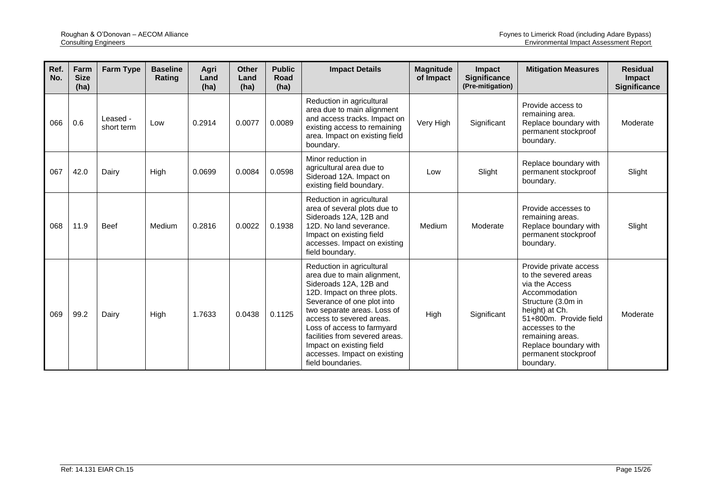| Ref.<br>No. | Farm<br><b>Size</b><br>(ha) | <b>Farm Type</b>       | <b>Baseline</b><br>Rating | Agri<br>Land<br>(ha) | <b>Other</b><br>Land<br>(ha) | <b>Public</b><br>Road<br>(ha) | <b>Impact Details</b>                                                                                                                                                                                                                                                                                                                                       | <b>Magnitude</b><br>of Impact | Impact<br><b>Significance</b><br>(Pre-mitigation) | <b>Mitigation Measures</b>                                                                                                                                                                                                                               | <b>Residual</b><br>Impact<br><b>Significance</b> |
|-------------|-----------------------------|------------------------|---------------------------|----------------------|------------------------------|-------------------------------|-------------------------------------------------------------------------------------------------------------------------------------------------------------------------------------------------------------------------------------------------------------------------------------------------------------------------------------------------------------|-------------------------------|---------------------------------------------------|----------------------------------------------------------------------------------------------------------------------------------------------------------------------------------------------------------------------------------------------------------|--------------------------------------------------|
| 066         | 0.6                         | Leased -<br>short term | Low                       | 0.2914               | 0.0077                       | 0.0089                        | Reduction in agricultural<br>area due to main alignment<br>and access tracks. Impact on<br>existing access to remaining<br>area. Impact on existing field<br>boundary.                                                                                                                                                                                      | Very High                     | Significant                                       | Provide access to<br>remaining area.<br>Replace boundary with<br>permanent stockproof<br>boundary.                                                                                                                                                       | Moderate                                         |
| 067         | 42.0                        | Dairy                  | High                      | 0.0699               | 0.0084                       | 0.0598                        | Minor reduction in<br>agricultural area due to<br>Sideroad 12A. Impact on<br>existing field boundary.                                                                                                                                                                                                                                                       | Low                           | Slight                                            | Replace boundary with<br>permanent stockproof<br>boundary.                                                                                                                                                                                               | Slight                                           |
| 068         | 11.9                        | <b>Beef</b>            | Medium                    | 0.2816               | 0.0022                       | 0.1938                        | Reduction in agricultural<br>area of several plots due to<br>Sideroads 12A, 12B and<br>12D. No land severance.<br>Impact on existing field<br>accesses. Impact on existing<br>field boundary.                                                                                                                                                               | Medium                        | Moderate                                          | Provide accesses to<br>remaining areas.<br>Replace boundary with<br>permanent stockproof<br>boundary.                                                                                                                                                    | Slight                                           |
| 069         | 99.2                        | Dairy                  | High                      | 1.7633               | 0.0438                       | 0.1125                        | Reduction in agricultural<br>area due to main alignment,<br>Sideroads 12A, 12B and<br>12D. Impact on three plots.<br>Severance of one plot into<br>two separate areas. Loss of<br>access to severed areas.<br>Loss of access to farmyard<br>facilities from severed areas.<br>Impact on existing field<br>accesses. Impact on existing<br>field boundaries. | High                          | Significant                                       | Provide private access<br>to the severed areas<br>via the Access<br>Accommodation<br>Structure (3.0m in<br>height) at Ch.<br>51+800m. Provide field<br>accesses to the<br>remaining areas.<br>Replace boundary with<br>permanent stockproof<br>boundary. | Moderate                                         |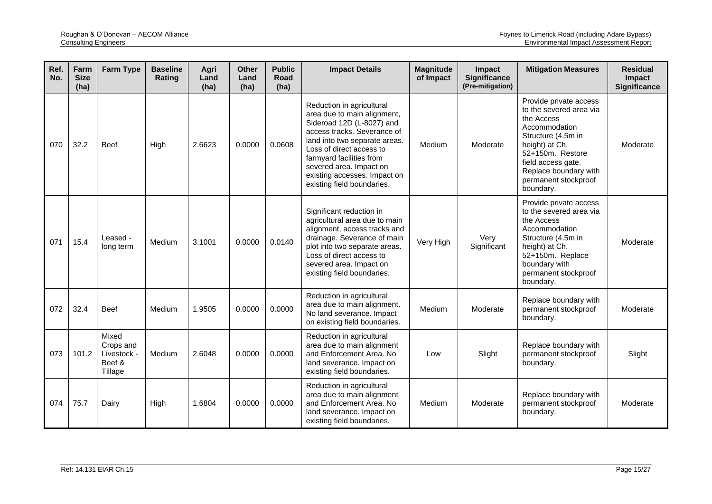| Ref.<br>No. | Farm<br><b>Size</b><br>(ha) | <b>Farm Type</b>                                       | <b>Baseline</b><br>Rating | Agri<br>Land<br>(ha) | <b>Other</b><br>Land<br>(ha) | <b>Public</b><br><b>Road</b><br>(ha) | <b>Impact Details</b>                                                                                                                                                                                                                                                                                  | <b>Magnitude</b><br>of Impact | <b>Impact</b><br><b>Significance</b><br>(Pre-mitigation) | <b>Mitigation Measures</b>                                                                                                                                                                                                       | <b>Residual</b><br>Impact<br><b>Significance</b> |
|-------------|-----------------------------|--------------------------------------------------------|---------------------------|----------------------|------------------------------|--------------------------------------|--------------------------------------------------------------------------------------------------------------------------------------------------------------------------------------------------------------------------------------------------------------------------------------------------------|-------------------------------|----------------------------------------------------------|----------------------------------------------------------------------------------------------------------------------------------------------------------------------------------------------------------------------------------|--------------------------------------------------|
| 070         | 32.2                        | <b>Beef</b>                                            | High                      | 2.6623               | 0.0000                       | 0.0608                               | Reduction in agricultural<br>area due to main alignment,<br>Sideroad 12D (L-8027) and<br>access tracks. Severance of<br>land into two separate areas.<br>Loss of direct access to<br>farmyard facilities from<br>severed area. Impact on<br>existing accesses. Impact on<br>existing field boundaries. | Medium                        | Moderate                                                 | Provide private access<br>to the severed area via<br>the Access<br>Accommodation<br>Structure (4.5m in<br>height) at Ch.<br>52+150m. Restore<br>field access gate.<br>Replace boundary with<br>permanent stockproof<br>boundary. | Moderate                                         |
| 071         | 15.4                        | Leased -<br>long term                                  | Medium                    | 3.1001               | 0.0000                       | 0.0140                               | Significant reduction in<br>agricultural area due to main<br>alignment, access tracks and<br>drainage. Severance of main<br>plot into two separate areas.<br>Loss of direct access to<br>severed area. Impact on<br>existing field boundaries.                                                         | Very High                     | Very<br>Significant                                      | Provide private access<br>to the severed area via<br>the Access<br>Accommodation<br>Structure (4.5m in<br>height) at Ch.<br>52+150m. Replace<br>boundary with<br>permanent stockproof<br>boundary.                               | Moderate                                         |
| 072         | 32.4                        | <b>Beef</b>                                            | Medium                    | 1.9505               | 0.0000                       | 0.0000                               | Reduction in agricultural<br>area due to main alignment.<br>No land severance. Impact<br>on existing field boundaries.                                                                                                                                                                                 | Medium                        | Moderate                                                 | Replace boundary with<br>permanent stockproof<br>boundary.                                                                                                                                                                       | Moderate                                         |
| 073         | 101.2                       | Mixed<br>Crops and<br>Livestock -<br>Beef &<br>Tillage | Medium                    | 2.6048               | 0.0000                       | 0.0000                               | Reduction in agricultural<br>area due to main alignment<br>and Enforcement Area. No<br>land severance. Impact on<br>existing field boundaries.                                                                                                                                                         | Low                           | Slight                                                   | Replace boundary with<br>permanent stockproof<br>boundary.                                                                                                                                                                       | Slight                                           |
| 074         | 75.7                        | Dairy                                                  | High                      | 1.6804               | 0.0000                       | 0.0000                               | Reduction in agricultural<br>area due to main alignment<br>and Enforcement Area. No<br>land severance. Impact on<br>existing field boundaries.                                                                                                                                                         | Medium                        | Moderate                                                 | Replace boundary with<br>permanent stockproof<br>boundary.                                                                                                                                                                       | Moderate                                         |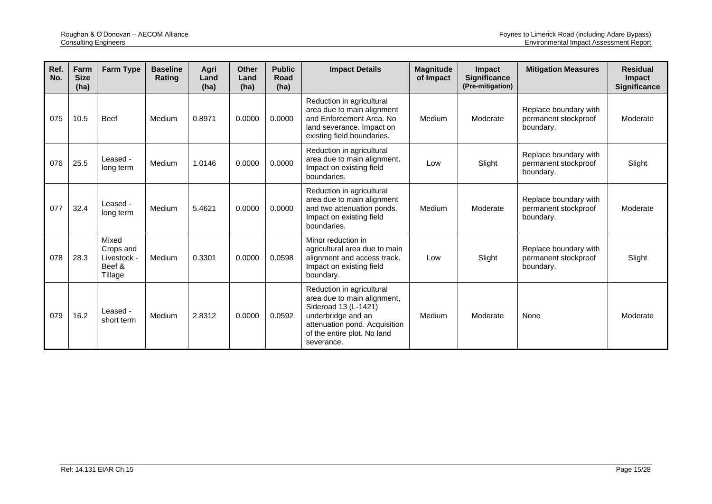| Ref.<br>No. | Farm<br><b>Size</b><br>(ha) | Farm Type                                              | <b>Baseline</b><br>Rating | Agri<br>Land<br>(ha) | <b>Other</b><br>Land<br>(ha) | <b>Public</b><br>Road<br>(ha) | <b>Impact Details</b>                                                                                                                                                                | <b>Magnitude</b><br>of Impact | <b>Impact</b><br><b>Significance</b><br>(Pre-mitigation) | <b>Mitigation Measures</b>                                 | <b>Residual</b><br><b>Impact</b><br><b>Significance</b> |
|-------------|-----------------------------|--------------------------------------------------------|---------------------------|----------------------|------------------------------|-------------------------------|--------------------------------------------------------------------------------------------------------------------------------------------------------------------------------------|-------------------------------|----------------------------------------------------------|------------------------------------------------------------|---------------------------------------------------------|
| 075         | 10.5                        | <b>Beef</b>                                            | Medium                    | 0.8971               | 0.0000                       | 0.0000                        | Reduction in agricultural<br>area due to main alignment<br>and Enforcement Area. No<br>land severance. Impact on<br>existing field boundaries.                                       | Medium                        | Moderate                                                 | Replace boundary with<br>permanent stockproof<br>boundary. | Moderate                                                |
| 076         | 25.5                        | Leased -<br>long term                                  | Medium                    | 1.0146               | 0.0000                       | 0.0000                        | Reduction in agricultural<br>area due to main alignment.<br>Impact on existing field<br>boundaries.                                                                                  | Low                           | Slight                                                   | Replace boundary with<br>permanent stockproof<br>boundary. | Slight                                                  |
| 077         | 32.4                        | Leased -<br>long term                                  | Medium                    | 5.4621               | 0.0000                       | 0.0000                        | Reduction in agricultural<br>area due to main alignment<br>and two attenuation ponds.<br>Impact on existing field<br>boundaries.                                                     | Medium                        | Moderate                                                 | Replace boundary with<br>permanent stockproof<br>boundary. | Moderate                                                |
| 078         | 28.3                        | Mixed<br>Crops and<br>Livestock -<br>Beef &<br>Tillage | Medium                    | 0.3301               | 0.0000                       | 0.0598                        | Minor reduction in<br>agricultural area due to main<br>alignment and access track.<br>Impact on existing field<br>boundary.                                                          | Low                           | Slight                                                   | Replace boundary with<br>permanent stockproof<br>boundary. | Slight                                                  |
| 079         | 16.2                        | Leased -<br>short term                                 | Medium                    | 2.8312               | 0.0000                       | 0.0592                        | Reduction in agricultural<br>area due to main alignment,<br>Sideroad 13 (L-1421)<br>underbridge and an<br>attenuation pond. Acquisition<br>of the entire plot. No land<br>severance. | Medium                        | Moderate                                                 | None                                                       | Moderate                                                |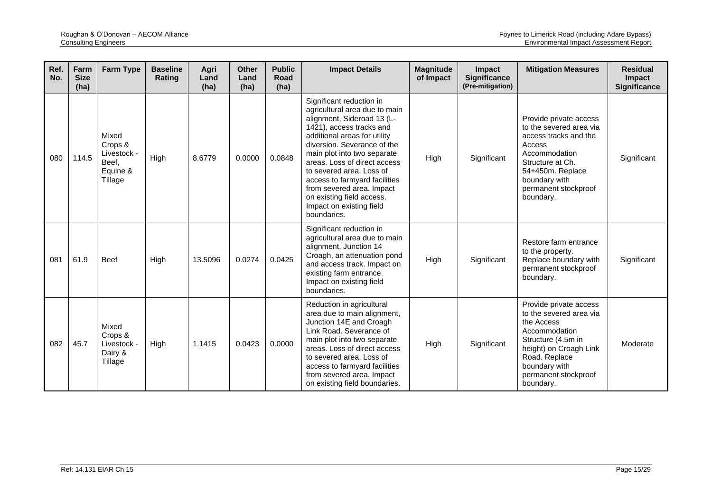| Ref.<br>No. | Farm<br><b>Size</b><br>(ha) | <b>Farm Type</b>                                                | <b>Baseline</b><br>Rating | Agri<br>Land<br>(ha) | <b>Other</b><br>Land<br>(ha) | <b>Public</b><br><b>Road</b><br>(ha) | <b>Impact Details</b>                                                                                                                                                                                                                                                                                                                                                                                               | <b>Magnitude</b><br>of Impact | Impact<br><b>Significance</b><br>(Pre-mitigation) | <b>Mitigation Measures</b>                                                                                                                                                                              | <b>Residual</b><br><b>Impact</b><br><b>Significance</b> |
|-------------|-----------------------------|-----------------------------------------------------------------|---------------------------|----------------------|------------------------------|--------------------------------------|---------------------------------------------------------------------------------------------------------------------------------------------------------------------------------------------------------------------------------------------------------------------------------------------------------------------------------------------------------------------------------------------------------------------|-------------------------------|---------------------------------------------------|---------------------------------------------------------------------------------------------------------------------------------------------------------------------------------------------------------|---------------------------------------------------------|
| 080         | 114.5                       | Mixed<br>Crops &<br>Livestock -<br>Beef.<br>Equine &<br>Tillage | High                      | 8.6779               | 0.0000                       | 0.0848                               | Significant reduction in<br>agricultural area due to main<br>alignment, Sideroad 13 (L-<br>1421), access tracks and<br>additional areas for utility<br>diversion. Severance of the<br>main plot into two separate<br>areas. Loss of direct access<br>to severed area. Loss of<br>access to farmyard facilities<br>from severed area. Impact<br>on existing field access.<br>Impact on existing field<br>boundaries. | High                          | Significant                                       | Provide private access<br>to the severed area via<br>access tracks and the<br>Access<br>Accommodation<br>Structure at Ch.<br>54+450m. Replace<br>boundary with<br>permanent stockproof<br>boundary.     | Significant                                             |
| 081         | 61.9                        | <b>Beef</b>                                                     | High                      | 13.5096              | 0.0274                       | 0.0425                               | Significant reduction in<br>agricultural area due to main<br>alignment, Junction 14<br>Croagh, an attenuation pond<br>and access track. Impact on<br>existing farm entrance.<br>Impact on existing field<br>boundaries.                                                                                                                                                                                             | High                          | Significant                                       | Restore farm entrance<br>to the property.<br>Replace boundary with<br>permanent stockproof<br>boundary.                                                                                                 | Significant                                             |
| 082         | 45.7                        | Mixed<br>Crops &<br>Livestock -<br>Dairy &<br>Tillage           | High                      | 1.1415               | 0.0423                       | 0.0000                               | Reduction in agricultural<br>area due to main alignment,<br>Junction 14E and Croagh<br>Link Road, Severance of<br>main plot into two separate<br>areas. Loss of direct access<br>to severed area. Loss of<br>access to farmyard facilities<br>from severed area. Impact<br>on existing field boundaries.                                                                                                            | High                          | Significant                                       | Provide private access<br>to the severed area via<br>the Access<br>Accommodation<br>Structure (4.5m in<br>height) on Croagh Link<br>Road. Replace<br>boundary with<br>permanent stockproof<br>boundary. | Moderate                                                |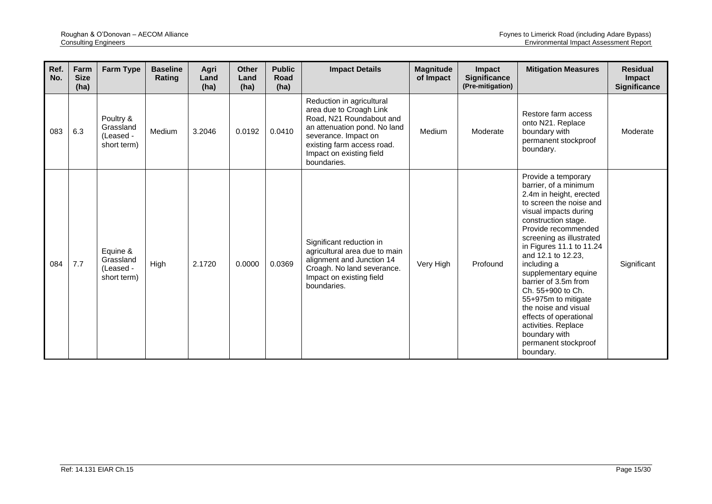| Ref.<br>No. | Farm<br><b>Size</b><br>(ha) | Farm Type                                          | <b>Baseline</b><br>Rating | Agri<br>Land<br>(ha) | <b>Other</b><br>Land<br>(ha) | <b>Public</b><br>Road<br>(ha) | <b>Impact Details</b>                                                                                                                                                                                             | <b>Magnitude</b><br>of Impact | Impact<br>Significance<br>(Pre-mitigation) | <b>Mitigation Measures</b>                                                                                                                                                                                                                                                                                                                                                                                                                                                                        | <b>Residual</b><br>Impact<br><b>Significance</b> |
|-------------|-----------------------------|----------------------------------------------------|---------------------------|----------------------|------------------------------|-------------------------------|-------------------------------------------------------------------------------------------------------------------------------------------------------------------------------------------------------------------|-------------------------------|--------------------------------------------|---------------------------------------------------------------------------------------------------------------------------------------------------------------------------------------------------------------------------------------------------------------------------------------------------------------------------------------------------------------------------------------------------------------------------------------------------------------------------------------------------|--------------------------------------------------|
| 083         | 6.3                         | Poultry &<br>Grassland<br>(Leased -<br>short term) | Medium                    | 3.2046               | 0.0192                       | 0.0410                        | Reduction in agricultural<br>area due to Croagh Link<br>Road, N21 Roundabout and<br>an attenuation pond. No land<br>severance. Impact on<br>existing farm access road.<br>Impact on existing field<br>boundaries. | Medium                        | Moderate                                   | Restore farm access<br>onto N21. Replace<br>boundary with<br>permanent stockproof<br>boundary.                                                                                                                                                                                                                                                                                                                                                                                                    | Moderate                                         |
| 084         | 7.7                         | Equine &<br>Grassland<br>(Leased -<br>short term)  | High                      | 2.1720               | 0.0000                       | 0.0369                        | Significant reduction in<br>agricultural area due to main<br>alignment and Junction 14<br>Croagh. No land severance.<br>Impact on existing field<br>boundaries.                                                   | Very High                     | Profound                                   | Provide a temporary<br>barrier, of a minimum<br>2.4m in height, erected<br>to screen the noise and<br>visual impacts during<br>construction stage.<br>Provide recommended<br>screening as illustrated<br>in Figures 11.1 to 11.24<br>and 12.1 to 12.23,<br>including a<br>supplementary equine<br>barrier of 3.5m from<br>Ch. 55+900 to Ch.<br>55+975m to mitigate<br>the noise and visual<br>effects of operational<br>activities. Replace<br>boundary with<br>permanent stockproof<br>boundary. | Significant                                      |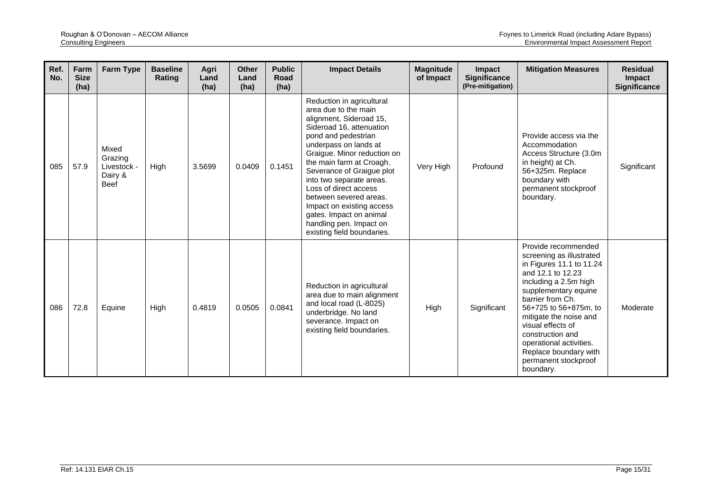| Ref.<br>No. | Farm<br><b>Size</b><br>(ha) | <b>Farm Type</b>                                          | <b>Baseline</b><br>Rating | Agri<br>Land<br>(ha) | <b>Other</b><br>Land<br>(ha) | <b>Public</b><br>Road<br>(ha) | <b>Impact Details</b>                                                                                                                                                                                                                                                                                                                                                                                                                            | <b>Magnitude</b><br>of Impact | Impact<br><b>Significance</b><br>(Pre-mitigation) | <b>Mitigation Measures</b>                                                                                                                                                                                                                                                                                                                                 | <b>Residual</b><br>Impact<br><b>Significance</b> |
|-------------|-----------------------------|-----------------------------------------------------------|---------------------------|----------------------|------------------------------|-------------------------------|--------------------------------------------------------------------------------------------------------------------------------------------------------------------------------------------------------------------------------------------------------------------------------------------------------------------------------------------------------------------------------------------------------------------------------------------------|-------------------------------|---------------------------------------------------|------------------------------------------------------------------------------------------------------------------------------------------------------------------------------------------------------------------------------------------------------------------------------------------------------------------------------------------------------------|--------------------------------------------------|
| 085         | 57.9                        | Mixed<br>Grazing<br>Livestock -<br>Dairy &<br><b>Beef</b> | High                      | 3.5699               | 0.0409                       | 0.1451                        | Reduction in agricultural<br>area due to the main<br>alignment, Sideroad 15,<br>Sideroad 16, attenuation<br>pond and pedestrian<br>underpass on lands at<br>Graigue. Minor reduction on<br>the main farm at Croagh.<br>Severance of Graigue plot<br>into two separate areas.<br>Loss of direct access<br>between severed areas.<br>Impact on existing access<br>gates. Impact on animal<br>handling pen. Impact on<br>existing field boundaries. | Very High                     | Profound                                          | Provide access via the<br>Accommodation<br>Access Structure (3.0m<br>in height) at Ch.<br>56+325m. Replace<br>boundary with<br>permanent stockproof<br>boundary.                                                                                                                                                                                           | Significant                                      |
| 086         | 72.8                        | Equine                                                    | High                      | 0.4819               | 0.0505                       | 0.0841                        | Reduction in agricultural<br>area due to main alignment<br>and local road (L-8025)<br>underbridge. No land<br>severance. Impact on<br>existing field boundaries.                                                                                                                                                                                                                                                                                 | High                          | Significant                                       | Provide recommended<br>screening as illustrated<br>in Figures 11.1 to 11.24<br>and 12.1 to 12.23<br>including a 2.5m high<br>supplementary equine<br>barrier from Ch.<br>56+725 to 56+875m, to<br>mitigate the noise and<br>visual effects of<br>construction and<br>operational activities.<br>Replace boundary with<br>permanent stockproof<br>boundary. | Moderate                                         |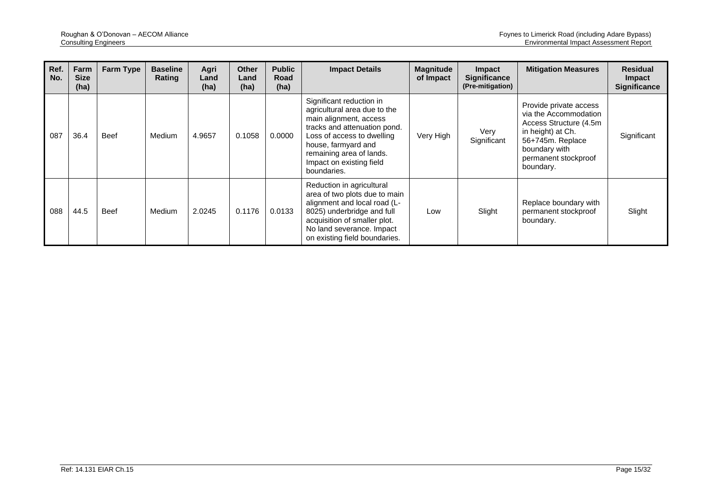| Ref.<br>No. | Farm<br><b>Size</b><br>(ha) | Farm Type   | <b>Baseline</b><br>Rating | Agri<br>Land<br>(ha) | <b>Other</b><br>Land<br>(ha) | <b>Public</b><br>Road<br>(ha) | <b>Impact Details</b>                                                                                                                                                                                                                          | <b>Magnitude</b><br>of Impact | <b>Impact</b><br><b>Significance</b><br>(Pre-mitigation) | <b>Mitigation Measures</b>                                                                                                                                                | <b>Residual</b><br><b>Impact</b><br>Significance |
|-------------|-----------------------------|-------------|---------------------------|----------------------|------------------------------|-------------------------------|------------------------------------------------------------------------------------------------------------------------------------------------------------------------------------------------------------------------------------------------|-------------------------------|----------------------------------------------------------|---------------------------------------------------------------------------------------------------------------------------------------------------------------------------|--------------------------------------------------|
| 087         | 36.4                        | <b>Beef</b> | Medium                    | 4.9657               | 0.1058                       | 0.0000                        | Significant reduction in<br>agricultural area due to the<br>main alignment, access<br>tracks and attenuation pond.<br>Loss of access to dwelling<br>house, farmyard and<br>remaining area of lands.<br>Impact on existing field<br>boundaries. | Very High                     | Very<br>Significant                                      | Provide private access<br>via the Accommodation<br>Access Structure (4.5m)<br>in height) at Ch.<br>56+745m. Replace<br>boundary with<br>permanent stockproof<br>boundary. | Significant                                      |
| 088         | 44.5                        | <b>Beef</b> | Medium                    | 2.0245               | 0.1176                       | 0.0133                        | Reduction in agricultural<br>area of two plots due to main<br>alignment and local road (L-<br>8025) underbridge and full<br>acquisition of smaller plot.<br>No land severance. Impact<br>on existing field boundaries.                         | Low                           | Slight                                                   | Replace boundary with<br>permanent stockproof<br>boundary.                                                                                                                | Slight                                           |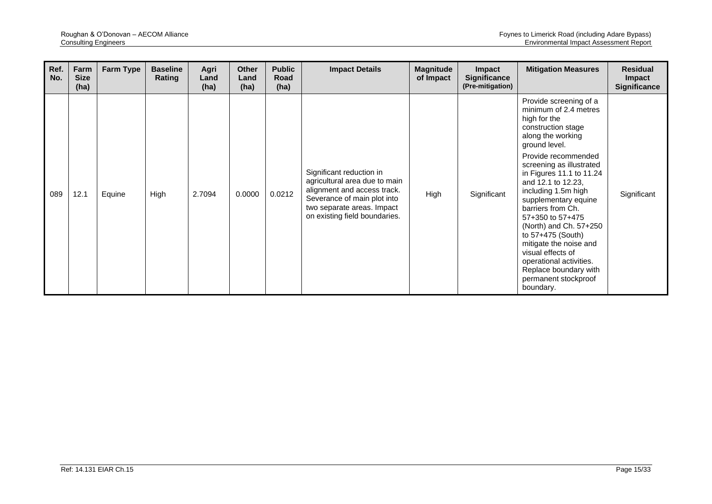| Ref.<br>No. | Farm<br><b>Size</b><br>(ha) | Farm Type | <b>Baseline</b><br>Rating | Agri<br>Land<br>(ha) | <b>Other</b><br>Land<br>(ha) | <b>Public</b><br>Road<br>(ha) | <b>Impact Details</b>                                                                                                                                                                  | <b>Magnitude</b><br>of Impact | <b>Impact</b><br><b>Significance</b><br>(Pre-mitigation) | <b>Mitigation Measures</b>                                                                                                                                                                                                                                                                                                                                                                                                                                                                                      | <b>Residual</b><br><b>Impact</b><br><b>Significance</b> |
|-------------|-----------------------------|-----------|---------------------------|----------------------|------------------------------|-------------------------------|----------------------------------------------------------------------------------------------------------------------------------------------------------------------------------------|-------------------------------|----------------------------------------------------------|-----------------------------------------------------------------------------------------------------------------------------------------------------------------------------------------------------------------------------------------------------------------------------------------------------------------------------------------------------------------------------------------------------------------------------------------------------------------------------------------------------------------|---------------------------------------------------------|
| 089         | 12.1                        | Equine    | High                      | 2.7094               | 0.0000                       | 0.0212                        | Significant reduction in<br>agricultural area due to main<br>alignment and access track.<br>Severance of main plot into<br>two separate areas. Impact<br>on existing field boundaries. | High                          | Significant                                              | Provide screening of a<br>minimum of 2.4 metres<br>high for the<br>construction stage<br>along the working<br>ground level.<br>Provide recommended<br>screening as illustrated<br>in Figures 11.1 to 11.24<br>and 12.1 to 12.23.<br>including 1.5m high<br>supplementary equine<br>barriers from Ch.<br>57+350 to 57+475<br>(North) and Ch. 57+250<br>to 57+475 (South)<br>mitigate the noise and<br>visual effects of<br>operational activities.<br>Replace boundary with<br>permanent stockproof<br>boundary. | Significant                                             |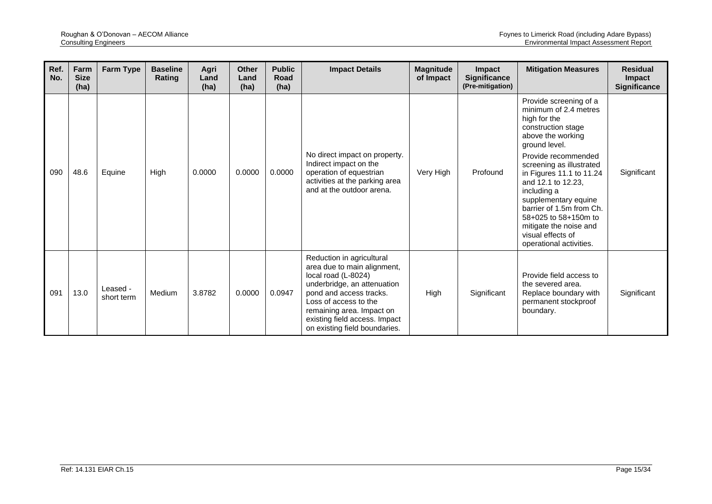| Ref.<br>No. | Farm<br><b>Size</b><br>(ha) | <b>Farm Type</b>       | <b>Baseline</b><br>Rating | Agri<br>Land<br>(ha) | <b>Other</b><br>Land<br>(ha) | <b>Public</b><br>Road<br>(ha) | <b>Impact Details</b>                                                                                                                                                                                                                                             | <b>Magnitude</b><br>of Impact | Impact<br>Significance<br>(Pre-mitigation) | <b>Mitigation Measures</b>                                                                                                                                                                                                                                                                                                                                                                            | <b>Residual</b><br>Impact<br>Significance |
|-------------|-----------------------------|------------------------|---------------------------|----------------------|------------------------------|-------------------------------|-------------------------------------------------------------------------------------------------------------------------------------------------------------------------------------------------------------------------------------------------------------------|-------------------------------|--------------------------------------------|-------------------------------------------------------------------------------------------------------------------------------------------------------------------------------------------------------------------------------------------------------------------------------------------------------------------------------------------------------------------------------------------------------|-------------------------------------------|
| 090         | 48.6                        | Equine                 | High                      | 0.0000               | 0.0000                       | 0.0000                        | No direct impact on property.<br>Indirect impact on the<br>operation of equestrian<br>activities at the parking area<br>and at the outdoor arena.                                                                                                                 | Very High                     | Profound                                   | Provide screening of a<br>minimum of 2.4 metres<br>high for the<br>construction stage<br>above the working<br>ground level.<br>Provide recommended<br>screening as illustrated<br>in Figures 11.1 to 11.24<br>and 12.1 to 12.23,<br>including a<br>supplementary equine<br>barrier of 1.5m from Ch.<br>58+025 to 58+150m to<br>mitigate the noise and<br>visual effects of<br>operational activities. | Significant                               |
| 091         | 13.0                        | Leased -<br>short term | Medium                    | 3.8782               | 0.0000                       | 0.0947                        | Reduction in agricultural<br>area due to main alignment,<br>local road (L-8024)<br>underbridge, an attenuation<br>pond and access tracks.<br>Loss of access to the<br>remaining area. Impact on<br>existing field access. Impact<br>on existing field boundaries. | High                          | Significant                                | Provide field access to<br>the severed area.<br>Replace boundary with<br>permanent stockproof<br>boundary.                                                                                                                                                                                                                                                                                            | Significant                               |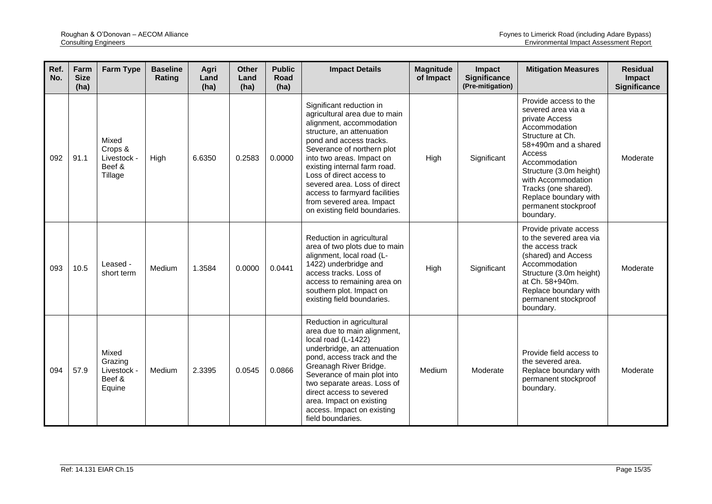| Ref.<br>No. | Farm<br><b>Size</b><br>(ha) | <b>Farm Type</b>                                     | <b>Baseline</b><br>Rating | Agri<br>Land<br>(ha) | <b>Other</b><br>Land<br>(ha) | <b>Public</b><br>Road<br>(ha) | <b>Impact Details</b>                                                                                                                                                                                                                                                                                                                                                                               | <b>Magnitude</b><br>of Impact | Impact<br><b>Significance</b><br>(Pre-mitigation) | <b>Mitigation Measures</b>                                                                                                                                                                                                                                                                   | <b>Residual</b><br>Impact<br><b>Significance</b> |
|-------------|-----------------------------|------------------------------------------------------|---------------------------|----------------------|------------------------------|-------------------------------|-----------------------------------------------------------------------------------------------------------------------------------------------------------------------------------------------------------------------------------------------------------------------------------------------------------------------------------------------------------------------------------------------------|-------------------------------|---------------------------------------------------|----------------------------------------------------------------------------------------------------------------------------------------------------------------------------------------------------------------------------------------------------------------------------------------------|--------------------------------------------------|
| 092         | 91.1                        | Mixed<br>Crops &<br>Livestock -<br>Beef &<br>Tillage | High                      | 6.6350               | 0.2583                       | 0.0000                        | Significant reduction in<br>agricultural area due to main<br>alignment, accommodation<br>structure, an attenuation<br>pond and access tracks.<br>Severance of northern plot<br>into two areas. Impact on<br>existing internal farm road.<br>Loss of direct access to<br>severed area. Loss of direct<br>access to farmyard facilities<br>from severed area. Impact<br>on existing field boundaries. | High                          | Significant                                       | Provide access to the<br>severed area via a<br>private Access<br>Accommodation<br>Structure at Ch.<br>58+490m and a shared<br>Access<br>Accommodation<br>Structure (3.0m height)<br>with Accommodation<br>Tracks (one shared).<br>Replace boundary with<br>permanent stockproof<br>boundary. | Moderate                                         |
| 093         | 10.5                        | Leased -<br>short term                               | Medium                    | 1.3584               | 0.0000                       | 0.0441                        | Reduction in agricultural<br>area of two plots due to main<br>alignment, local road (L-<br>1422) underbridge and<br>access tracks. Loss of<br>access to remaining area on<br>southern plot. Impact on<br>existing field boundaries.                                                                                                                                                                 | High                          | Significant                                       | Provide private access<br>to the severed area via<br>the access track<br>(shared) and Access<br>Accommodation<br>Structure (3.0m height)<br>at Ch. 58+940m.<br>Replace boundary with<br>permanent stockproof<br>boundary.                                                                    | Moderate                                         |
| 094         | 57.9                        | Mixed<br>Grazing<br>Livestock -<br>Beef &<br>Equine  | Medium                    | 2.3395               | 0.0545                       | 0.0866                        | Reduction in agricultural<br>area due to main alignment,<br>local road (L-1422)<br>underbridge, an attenuation<br>pond, access track and the<br>Greanagh River Bridge.<br>Severance of main plot into<br>two separate areas. Loss of<br>direct access to severed<br>area. Impact on existing<br>access. Impact on existing<br>field boundaries.                                                     | Medium                        | Moderate                                          | Provide field access to<br>the severed area.<br>Replace boundary with<br>permanent stockproof<br>boundary.                                                                                                                                                                                   | Moderate                                         |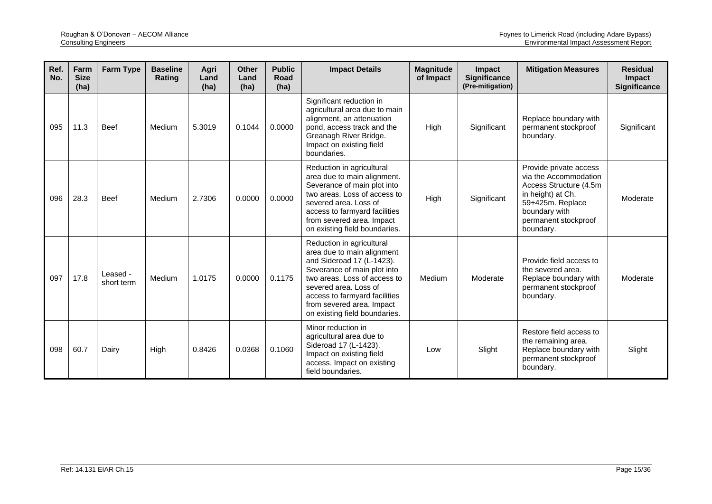| Ref.<br>No. | Farm<br><b>Size</b><br>(ha) | <b>Farm Type</b>       | <b>Baseline</b><br>Rating | Agri<br>Land<br>(ha) | <b>Other</b><br>Land<br>(ha) | <b>Public</b><br><b>Road</b><br>(ha) | <b>Impact Details</b>                                                                                                                                                                                                                                                       | <b>Magnitude</b><br>of Impact | Impact<br><b>Significance</b><br>(Pre-mitigation) | <b>Mitigation Measures</b>                                                                                                                                                | <b>Residual</b><br><b>Impact</b><br><b>Significance</b> |
|-------------|-----------------------------|------------------------|---------------------------|----------------------|------------------------------|--------------------------------------|-----------------------------------------------------------------------------------------------------------------------------------------------------------------------------------------------------------------------------------------------------------------------------|-------------------------------|---------------------------------------------------|---------------------------------------------------------------------------------------------------------------------------------------------------------------------------|---------------------------------------------------------|
| 095         | 11.3                        | <b>Beef</b>            | Medium                    | 5.3019               | 0.1044                       | 0.0000                               | Significant reduction in<br>agricultural area due to main<br>alignment, an attenuation<br>pond, access track and the<br>Greanagh River Bridge.<br>Impact on existing field<br>boundaries.                                                                                   | High                          | Significant                                       | Replace boundary with<br>permanent stockproof<br>boundary.                                                                                                                | Significant                                             |
| 096         | 28.3                        | <b>Beef</b>            | Medium                    | 2.7306               | 0.0000                       | 0.0000                               | Reduction in agricultural<br>area due to main alignment.<br>Severance of main plot into<br>two areas. Loss of access to<br>severed area. Loss of<br>access to farmyard facilities<br>from severed area. Impact<br>on existing field boundaries.                             | High                          | Significant                                       | Provide private access<br>via the Accommodation<br>Access Structure (4.5m)<br>in height) at Ch.<br>59+425m. Replace<br>boundary with<br>permanent stockproof<br>boundary. | Moderate                                                |
| 097         | 17.8                        | Leased -<br>short term | Medium                    | 1.0175               | 0.0000                       | 0.1175                               | Reduction in agricultural<br>area due to main alignment<br>and Sideroad 17 (L-1423).<br>Severance of main plot into<br>two areas. Loss of access to<br>severed area. Loss of<br>access to farmyard facilities<br>from severed area. Impact<br>on existing field boundaries. | Medium                        | Moderate                                          | Provide field access to<br>the severed area.<br>Replace boundary with<br>permanent stockproof<br>boundary.                                                                | Moderate                                                |
| 098         | 60.7                        | Dairy                  | High                      | 0.8426               | 0.0368                       | 0.1060                               | Minor reduction in<br>agricultural area due to<br>Sideroad 17 (L-1423).<br>Impact on existing field<br>access. Impact on existing<br>field boundaries.                                                                                                                      | Low                           | Slight                                            | Restore field access to<br>the remaining area.<br>Replace boundary with<br>permanent stockproof<br>boundary.                                                              | Slight                                                  |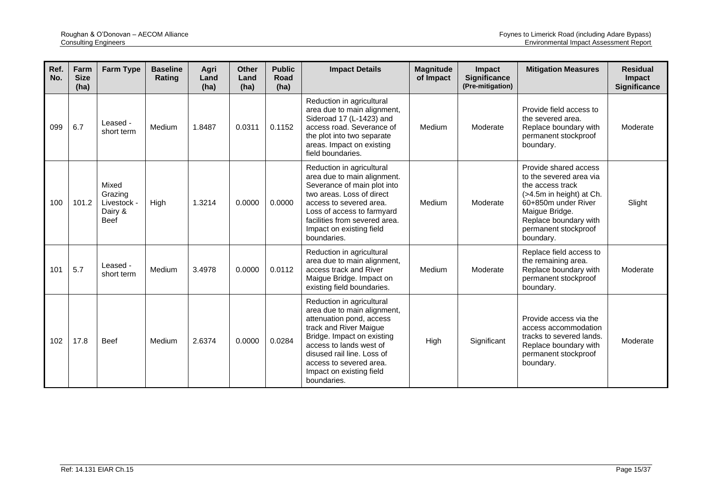| Ref.<br>No. | Farm<br><b>Size</b><br>(ha) | <b>Farm Type</b>                                          | <b>Baseline</b><br>Rating | Agri<br>Land<br>(ha) | <b>Other</b><br>Land<br>(ha) | <b>Public</b><br>Road<br>(ha) | <b>Impact Details</b>                                                                                                                                                                                                                                                       | <b>Magnitude</b><br>of Impact | <b>Impact</b><br><b>Significance</b><br>(Pre-mitigation) | <b>Mitigation Measures</b>                                                                                                                                                                              | <b>Residual</b><br>Impact<br><b>Significance</b> |
|-------------|-----------------------------|-----------------------------------------------------------|---------------------------|----------------------|------------------------------|-------------------------------|-----------------------------------------------------------------------------------------------------------------------------------------------------------------------------------------------------------------------------------------------------------------------------|-------------------------------|----------------------------------------------------------|---------------------------------------------------------------------------------------------------------------------------------------------------------------------------------------------------------|--------------------------------------------------|
| 099         | 6.7                         | Leased -<br>short term                                    | Medium                    | 1.8487               | 0.0311                       | 0.1152                        | Reduction in agricultural<br>area due to main alignment,<br>Sideroad 17 (L-1423) and<br>access road. Severance of<br>the plot into two separate<br>areas. Impact on existing<br>field boundaries.                                                                           | Medium                        | Moderate                                                 | Provide field access to<br>the severed area.<br>Replace boundary with<br>permanent stockproof<br>boundary.                                                                                              | Moderate                                         |
| 100         | 101.2                       | Mixed<br>Grazing<br>Livestock -<br>Dairy &<br><b>Beef</b> | High                      | 1.3214               | 0.0000                       | 0.0000                        | Reduction in agricultural<br>area due to main alignment.<br>Severance of main plot into<br>two areas. Loss of direct<br>access to severed area.<br>Loss of access to farmyard<br>facilities from severed area.<br>Impact on existing field<br>boundaries.                   | Medium                        | Moderate                                                 | Provide shared access<br>to the severed area via<br>the access track<br>(>4.5m in height) at Ch.<br>60+850m under River<br>Maigue Bridge.<br>Replace boundary with<br>permanent stockproof<br>boundary. | Slight                                           |
| 101         | 5.7                         | Leased -<br>short term                                    | Medium                    | 3.4978               | 0.0000                       | 0.0112                        | Reduction in agricultural<br>area due to main alignment,<br>access track and River<br>Maigue Bridge. Impact on<br>existing field boundaries.                                                                                                                                | Medium                        | Moderate                                                 | Replace field access to<br>the remaining area.<br>Replace boundary with<br>permanent stockproof<br>boundary.                                                                                            | Moderate                                         |
| 102         | 17.8                        | <b>Beef</b>                                               | Medium                    | 2.6374               | 0.0000                       | 0.0284                        | Reduction in agricultural<br>area due to main alignment,<br>attenuation pond, access<br>track and River Maigue<br>Bridge. Impact on existing<br>access to lands west of<br>disused rail line. Loss of<br>access to severed area.<br>Impact on existing field<br>boundaries. | High                          | Significant                                              | Provide access via the<br>access accommodation<br>tracks to severed lands.<br>Replace boundary with<br>permanent stockproof<br>boundary.                                                                | Moderate                                         |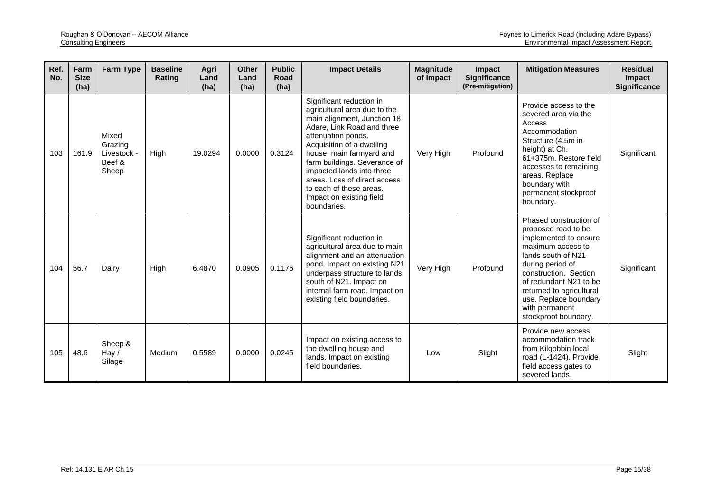| Ref.<br>No. | Farm<br><b>Size</b><br>(ha) | <b>Farm Type</b>                                   | <b>Baseline</b><br>Rating | Agri<br>Land<br>(ha) | <b>Other</b><br>Land<br>(ha) | <b>Public</b><br>Road<br>(ha) | <b>Impact Details</b>                                                                                                                                                                                                                                                                                                                                                   | <b>Magnitude</b><br>of Impact | Impact<br><b>Significance</b><br>(Pre-mitigation) | <b>Mitigation Measures</b>                                                                                                                                                                                                                                                              | <b>Residual</b><br>Impact<br><b>Significance</b> |
|-------------|-----------------------------|----------------------------------------------------|---------------------------|----------------------|------------------------------|-------------------------------|-------------------------------------------------------------------------------------------------------------------------------------------------------------------------------------------------------------------------------------------------------------------------------------------------------------------------------------------------------------------------|-------------------------------|---------------------------------------------------|-----------------------------------------------------------------------------------------------------------------------------------------------------------------------------------------------------------------------------------------------------------------------------------------|--------------------------------------------------|
| 103         | 161.9                       | Mixed<br>Grazing<br>Livestock -<br>Beef &<br>Sheep | High                      | 19.0294              | 0.0000                       | 0.3124                        | Significant reduction in<br>agricultural area due to the<br>main alignment, Junction 18<br>Adare, Link Road and three<br>attenuation ponds.<br>Acquisition of a dwelling<br>house, main farmyard and<br>farm buildings. Severance of<br>impacted lands into three<br>areas. Loss of direct access<br>to each of these areas.<br>Impact on existing field<br>boundaries. | Very High                     | Profound                                          | Provide access to the<br>severed area via the<br>Access<br>Accommodation<br>Structure (4.5m in<br>height) at Ch.<br>61+375m. Restore field<br>accesses to remaining<br>areas. Replace<br>boundary with<br>permanent stockproof<br>boundary.                                             | Significant                                      |
| 104         | 56.7                        | Dairy                                              | High                      | 6.4870               | 0.0905                       | 0.1176                        | Significant reduction in<br>agricultural area due to main<br>alignment and an attenuation<br>pond. Impact on existing N21<br>underpass structure to lands<br>south of N21. Impact on<br>internal farm road. Impact on<br>existing field boundaries.                                                                                                                     | Very High                     | Profound                                          | Phased construction of<br>proposed road to be<br>implemented to ensure<br>maximum access to<br>lands south of N21<br>during period of<br>construction. Section<br>of redundant N21 to be<br>returned to agricultural<br>use. Replace boundary<br>with permanent<br>stockproof boundary. | Significant                                      |
| 105         | 48.6                        | Sheep &<br>Hay $/$<br>Silage                       | Medium                    | 0.5589               | 0.0000                       | 0.0245                        | Impact on existing access to<br>the dwelling house and<br>lands. Impact on existing<br>field boundaries.                                                                                                                                                                                                                                                                | Low                           | Slight                                            | Provide new access<br>accommodation track<br>from Kilgobbin local<br>road (L-1424). Provide<br>field access gates to<br>severed lands.                                                                                                                                                  | Slight                                           |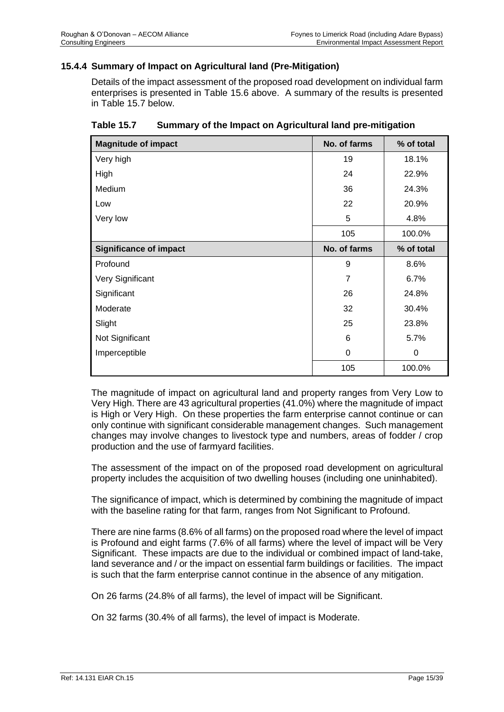## **15.4.4 Summary of Impact on Agricultural land (Pre-Mitigation)**

Details of the impact assessment of the proposed road development on individual farm enterprises is presented in [Table 15.6](#page-11-0) above. A summary of the results is presented in [Table 15.7](#page-39-0) below.

| <b>Magnitude of impact</b>    | No. of farms   | % of total |
|-------------------------------|----------------|------------|
| Very high                     | 19             | 18.1%      |
| High                          | 24             | 22.9%      |
| Medium                        | 36             | 24.3%      |
| Low                           | 22             | 20.9%      |
| Very low                      | 5              | 4.8%       |
|                               | 105            | 100.0%     |
| <b>Significance of impact</b> | No. of farms   | % of total |
| Profound                      | 9              | 8.6%       |
| Very Significant              | $\overline{7}$ | 6.7%       |
| Significant                   | 26             | 24.8%      |
| Moderate                      | 32             | 30.4%      |
| Slight                        | 25             | 23.8%      |
| Not Significant               | 6              | 5.7%       |
| Imperceptible                 | 0              | 0          |
|                               | 105            | 100.0%     |

<span id="page-39-0"></span>

| Table 15.7 | Summary of the Impact on Agricultural land pre-mitigation |  |  |
|------------|-----------------------------------------------------------|--|--|
|------------|-----------------------------------------------------------|--|--|

The magnitude of impact on agricultural land and property ranges from Very Low to Very High. There are 43 agricultural properties (41.0%) where the magnitude of impact is High or Very High. On these properties the farm enterprise cannot continue or can only continue with significant considerable management changes. Such management changes may involve changes to livestock type and numbers, areas of fodder / crop production and the use of farmyard facilities.

The assessment of the impact on of the proposed road development on agricultural property includes the acquisition of two dwelling houses (including one uninhabited).

The significance of impact, which is determined by combining the magnitude of impact with the baseline rating for that farm, ranges from Not Significant to Profound.

There are nine farms (8.6% of all farms) on the proposed road where the level of impact is Profound and eight farms (7.6% of all farms) where the level of impact will be Very Significant. These impacts are due to the individual or combined impact of land-take, land severance and / or the impact on essential farm buildings or facilities. The impact is such that the farm enterprise cannot continue in the absence of any mitigation.

On 26 farms (24.8% of all farms), the level of impact will be Significant.

On 32 farms (30.4% of all farms), the level of impact is Moderate.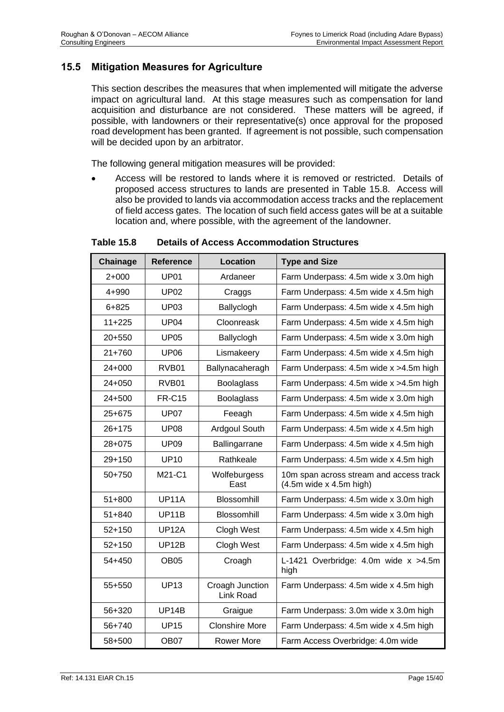# **15.5 Mitigation Measures for Agriculture**

This section describes the measures that when implemented will mitigate the adverse impact on agricultural land. At this stage measures such as compensation for land acquisition and disturbance are not considered. These matters will be agreed, if possible, with landowners or their representative(s) once approval for the proposed road development has been granted. If agreement is not possible, such compensation will be decided upon by an arbitrator.

The following general mitigation measures will be provided:

• Access will be restored to lands where it is removed or restricted. Details of proposed access structures to lands are presented in [Table 15.8.](#page-40-0) Access will also be provided to lands via accommodation access tracks and the replacement of field access gates. The location of such field access gates will be at a suitable location and, where possible, with the agreement of the landowner.

| Chainage   | <b>Reference</b> | Location                     | <b>Type and Size</b>                                                 |
|------------|------------------|------------------------------|----------------------------------------------------------------------|
| $2+000$    | <b>UP01</b>      | Ardaneer                     | Farm Underpass: 4.5m wide x 3.0m high                                |
| 4+990      | <b>UP02</b>      | Craggs                       | Farm Underpass: 4.5m wide x 4.5m high                                |
| $6 + 825$  | <b>UP03</b>      | Ballyclogh                   | Farm Underpass: 4.5m wide x 4.5m high                                |
| $11+225$   | <b>UP04</b>      | Cloonreask                   | Farm Underpass: 4.5m wide x 4.5m high                                |
| $20+550$   | <b>UP05</b>      | Ballyclogh                   | Farm Underpass: 4.5m wide x 3.0m high                                |
| $21 + 760$ | <b>UP06</b>      | Lismakeery                   | Farm Underpass: 4.5m wide x 4.5m high                                |
| 24+000     | RVB01            | Ballynacaheragh              | Farm Underpass: 4.5m wide x > 4.5m high                              |
| $24 + 050$ | RVB01            | <b>Boolaglass</b>            | Farm Underpass: 4.5m wide x > 4.5m high                              |
| 24+500     | <b>FR-C15</b>    | <b>Boolaglass</b>            | Farm Underpass: 4.5m wide x 3.0m high                                |
| $25+675$   | <b>UP07</b>      | Feeagh                       | Farm Underpass: 4.5m wide x 4.5m high                                |
| $26 + 175$ | <b>UP08</b>      | Ardgoul South                | Farm Underpass: 4.5m wide x 4.5m high                                |
| 28+075     | <b>UP09</b>      | Ballingarrane                | Farm Underpass: 4.5m wide x 4.5m high                                |
| 29+150     | <b>UP10</b>      | Rathkeale                    | Farm Underpass: 4.5m wide x 4.5m high                                |
| 50+750     | M21-C1           | Wolfeburgess<br>East         | 10m span across stream and access track<br>$(4.5m$ wide x 4.5m high) |
| $51 + 800$ | <b>UP11A</b>     | <b>Blossomhill</b>           | Farm Underpass: 4.5m wide x 3.0m high                                |
| $51 + 840$ | UP11B            | Blossomhill                  | Farm Underpass: 4.5m wide x 3.0m high                                |
| $52+150$   | <b>UP12A</b>     | Clogh West                   | Farm Underpass: 4.5m wide x 4.5m high                                |
| $52 + 150$ | UP12B            | Clogh West                   | Farm Underpass: 4.5m wide x 4.5m high                                |
| 54+450     | OB <sub>05</sub> | Croagh                       | L-1421 Overbridge: 4.0m wide x >4.5m<br>high                         |
| 55+550     | <b>UP13</b>      | Croagh Junction<br>Link Road | Farm Underpass: 4.5m wide x 4.5m high                                |
| 56+320     | UP14B            | Graigue                      | Farm Underpass: 3.0m wide x 3.0m high                                |
| 56+740     | <b>UP15</b>      | <b>Clonshire More</b>        | Farm Underpass: 4.5m wide x 4.5m high                                |
| 58+500     | OB07             | <b>Rower More</b>            | Farm Access Overbridge: 4.0m wide                                    |

<span id="page-40-0"></span>**Table 15.8 Details of Access Accommodation Structures**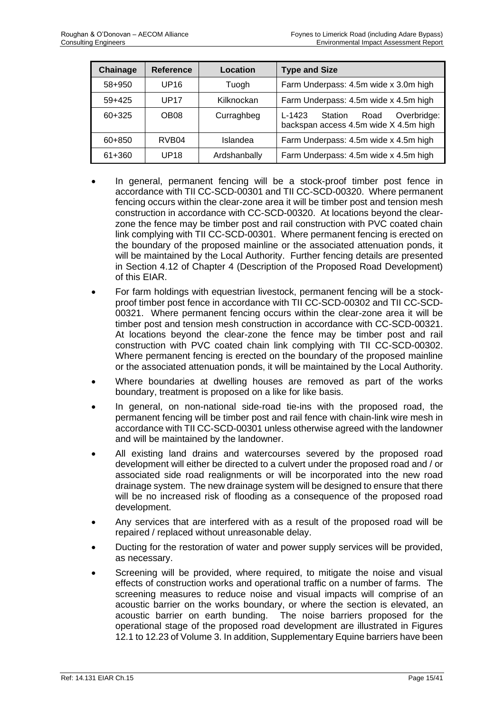| Chainage | <b>Reference</b>  | Location     | <b>Type and Size</b>                                                                  |  |
|----------|-------------------|--------------|---------------------------------------------------------------------------------------|--|
| 58+950   | UP <sub>16</sub>  | Tuogh        | Farm Underpass: 4.5m wide x 3.0m high                                                 |  |
| $59+425$ | UP <sub>17</sub>  | Kilknockan   | Farm Underpass: 4.5m wide x 4.5m high                                                 |  |
| 60+325   | OB <sub>08</sub>  | Curraghbeg   | Overbridge:<br>$L - 1423$<br>Station<br>Road<br>backspan access 4.5m wide X 4.5m high |  |
| 60+850   | RVB <sub>04</sub> | Islandea     | Farm Underpass: 4.5m wide x 4.5m high                                                 |  |
| 61+360   | UP <sub>18</sub>  | Ardshanbally | Farm Underpass: 4.5m wide x 4.5m high                                                 |  |

- In general, permanent fencing will be a stock-proof timber post fence in accordance with TII CC-SCD-00301 and TII CC-SCD-00320. Where permanent fencing occurs within the clear-zone area it will be timber post and tension mesh construction in accordance with CC-SCD-00320. At locations beyond the clearzone the fence may be timber post and rail construction with PVC coated chain link complying with TII CC-SCD-00301. Where permanent fencing is erected on the boundary of the proposed mainline or the associated attenuation ponds, it will be maintained by the Local Authority. Further fencing details are presented in Section 4.12 of Chapter 4 (Description of the Proposed Road Development) of this EIAR.
- For farm holdings with equestrian livestock, permanent fencing will be a stockproof timber post fence in accordance with TII CC-SCD-00302 and TII CC-SCD-00321. Where permanent fencing occurs within the clear-zone area it will be timber post and tension mesh construction in accordance with CC-SCD-00321. At locations beyond the clear-zone the fence may be timber post and rail construction with PVC coated chain link complying with TII CC-SCD-00302. Where permanent fencing is erected on the boundary of the proposed mainline or the associated attenuation ponds, it will be maintained by the Local Authority.
- Where boundaries at dwelling houses are removed as part of the works boundary, treatment is proposed on a like for like basis.
- In general, on non-national side-road tie-ins with the proposed road, the permanent fencing will be timber post and rail fence with chain-link wire mesh in accordance with TII CC-SCD-00301 unless otherwise agreed with the landowner and will be maintained by the landowner.
- All existing land drains and watercourses severed by the proposed road development will either be directed to a culvert under the proposed road and / or associated side road realignments or will be incorporated into the new road drainage system. The new drainage system will be designed to ensure that there will be no increased risk of flooding as a consequence of the proposed road development.
- Any services that are interfered with as a result of the proposed road will be repaired / replaced without unreasonable delay.
- Ducting for the restoration of water and power supply services will be provided, as necessary.
- Screening will be provided, where required, to mitigate the noise and visual effects of construction works and operational traffic on a number of farms. The screening measures to reduce noise and visual impacts will comprise of an acoustic barrier on the works boundary, or where the section is elevated, an acoustic barrier on earth bunding. The noise barriers proposed for the operational stage of the proposed road development are illustrated in Figures 12.1 to 12.23 of Volume 3. In addition, Supplementary Equine barriers have been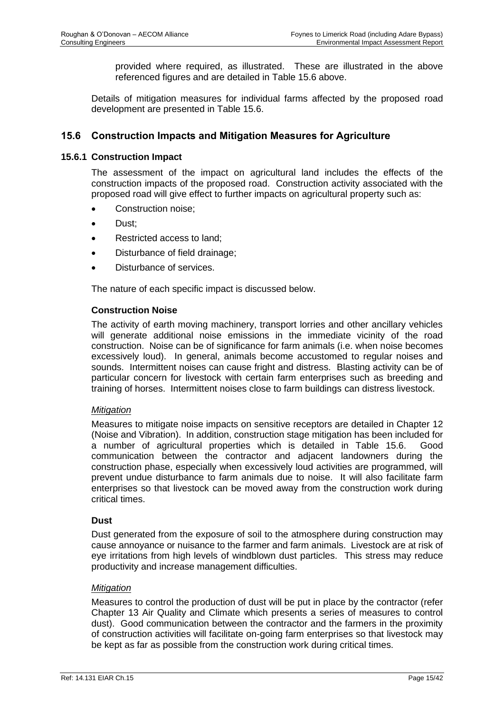provided where required, as illustrated. These are illustrated in the above referenced figures and are detailed in [Table 15.6](#page-11-0) above.

Details of mitigation measures for individual farms affected by the proposed road development are presented in [Table 15.6.](#page-11-0)

## **15.6 Construction Impacts and Mitigation Measures for Agriculture**

#### **15.6.1 Construction Impact**

The assessment of the impact on agricultural land includes the effects of the construction impacts of the proposed road. Construction activity associated with the proposed road will give effect to further impacts on agricultural property such as:

- Construction noise;
- Dust;
- Restricted access to land;
- Disturbance of field drainage;
- Disturbance of services.

The nature of each specific impact is discussed below.

#### **Construction Noise**

The activity of earth moving machinery, transport lorries and other ancillary vehicles will generate additional noise emissions in the immediate vicinity of the road construction. Noise can be of significance for farm animals (i.e. when noise becomes excessively loud). In general, animals become accustomed to regular noises and sounds. Intermittent noises can cause fright and distress. Blasting activity can be of particular concern for livestock with certain farm enterprises such as breeding and training of horses. Intermittent noises close to farm buildings can distress livestock.

#### *Mitigation*

Measures to mitigate noise impacts on sensitive receptors are detailed in Chapter 12 (Noise and Vibration). In addition, construction stage mitigation has been included for a number of agricultural properties which is detailed in [Table 15.6.](#page-11-0) Good communication between the contractor and adjacent landowners during the construction phase, especially when excessively loud activities are programmed, will prevent undue disturbance to farm animals due to noise. It will also facilitate farm enterprises so that livestock can be moved away from the construction work during critical times.

#### **Dust**

Dust generated from the exposure of soil to the atmosphere during construction may cause annoyance or nuisance to the farmer and farm animals. Livestock are at risk of eye irritations from high levels of windblown dust particles. This stress may reduce productivity and increase management difficulties.

#### *Mitigation*

Measures to control the production of dust will be put in place by the contractor (refer Chapter 13 Air Quality and Climate which presents a series of measures to control dust). Good communication between the contractor and the farmers in the proximity of construction activities will facilitate on-going farm enterprises so that livestock may be kept as far as possible from the construction work during critical times.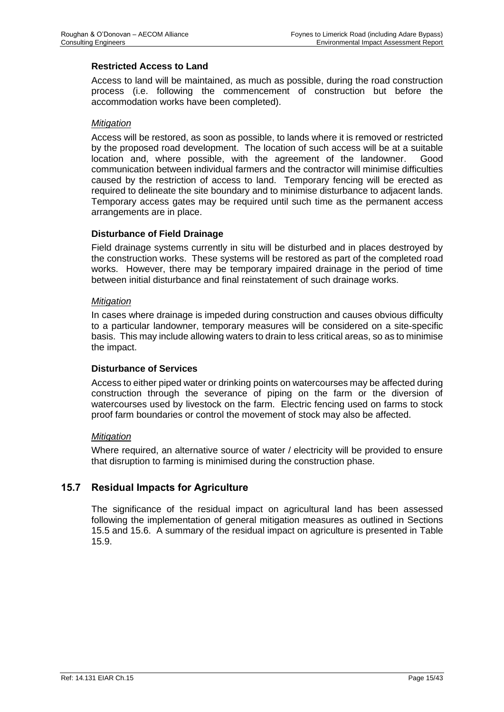#### **Restricted Access to Land**

Access to land will be maintained, as much as possible, during the road construction process (i.e. following the commencement of construction but before the accommodation works have been completed).

#### *Mitigation*

Access will be restored, as soon as possible, to lands where it is removed or restricted by the proposed road development. The location of such access will be at a suitable location and, where possible, with the agreement of the landowner. Good communication between individual farmers and the contractor will minimise difficulties caused by the restriction of access to land. Temporary fencing will be erected as required to delineate the site boundary and to minimise disturbance to adjacent lands. Temporary access gates may be required until such time as the permanent access arrangements are in place.

#### **Disturbance of Field Drainage**

Field drainage systems currently in situ will be disturbed and in places destroyed by the construction works. These systems will be restored as part of the completed road works. However, there may be temporary impaired drainage in the period of time between initial disturbance and final reinstatement of such drainage works.

#### *Mitigation*

In cases where drainage is impeded during construction and causes obvious difficulty to a particular landowner, temporary measures will be considered on a site-specific basis. This may include allowing waters to drain to less critical areas, so as to minimise the impact.

#### **Disturbance of Services**

Access to either piped water or drinking points on watercourses may be affected during construction through the severance of piping on the farm or the diversion of watercourses used by livestock on the farm. Electric fencing used on farms to stock proof farm boundaries or control the movement of stock may also be affected.

#### *Mitigation*

Where required, an alternative source of water / electricity will be provided to ensure that disruption to farming is minimised during the construction phase.

# **15.7 Residual Impacts for Agriculture**

The significance of the residual impact on agricultural land has been assessed following the implementation of general mitigation measures as outlined in Sections 15.5 and 15.6. A summary of the residual impact on agriculture is presented in [Table](#page-44-0)  [15.9.](#page-44-0)